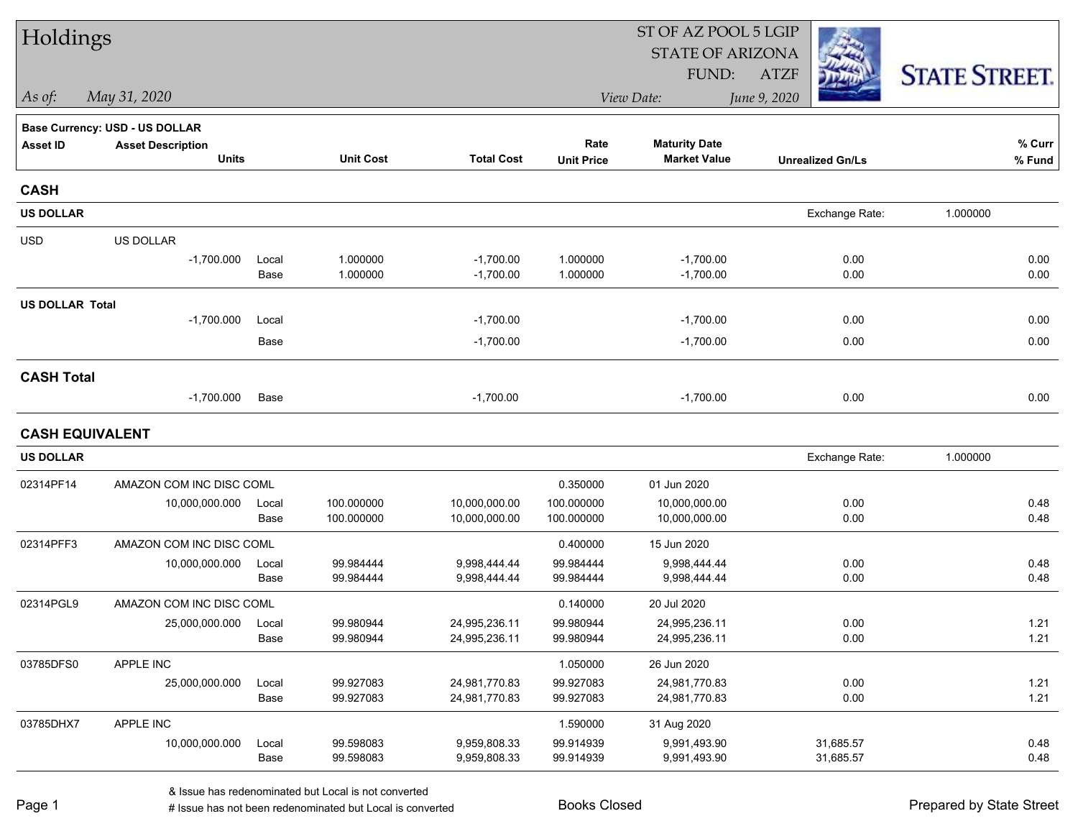| Holdings               |                                          |               |                        |                                | ST OF AZ POOL 5 LGIP   |                                             |                         |                      |  |  |
|------------------------|------------------------------------------|---------------|------------------------|--------------------------------|------------------------|---------------------------------------------|-------------------------|----------------------|--|--|
|                        |                                          |               |                        |                                |                        | <b>STATE OF ARIZONA</b>                     |                         |                      |  |  |
|                        |                                          |               |                        |                                |                        | FUND:                                       | <b>ATZF</b>             | <b>STATE STREET.</b> |  |  |
| As of:                 | May 31, 2020                             |               |                        |                                |                        | View Date:                                  | June 9, 2020            |                      |  |  |
|                        | <b>Base Currency: USD - US DOLLAR</b>    |               |                        |                                |                        |                                             |                         |                      |  |  |
| <b>Asset ID</b>        | <b>Asset Description</b><br><b>Units</b> |               | <b>Unit Cost</b>       | <b>Total Cost</b>              | Rate                   | <b>Maturity Date</b><br><b>Market Value</b> |                         | % Curr               |  |  |
|                        |                                          |               |                        |                                | <b>Unit Price</b>      |                                             | <b>Unrealized Gn/Ls</b> | % Fund               |  |  |
| <b>CASH</b>            |                                          |               |                        |                                |                        |                                             |                         |                      |  |  |
| <b>US DOLLAR</b>       |                                          |               |                        |                                |                        |                                             | Exchange Rate:          | 1.000000             |  |  |
| <b>USD</b>             | US DOLLAR                                |               |                        |                                |                        |                                             |                         |                      |  |  |
|                        | $-1,700.000$                             | Local         | 1.000000               | $-1,700.00$                    | 1.000000               | $-1,700.00$                                 | 0.00                    | 0.00                 |  |  |
|                        |                                          | Base          | 1.000000               | $-1,700.00$                    | 1.000000               | $-1,700.00$                                 | 0.00                    | 0.00                 |  |  |
| <b>US DOLLAR Total</b> |                                          |               |                        |                                |                        |                                             |                         |                      |  |  |
|                        | $-1,700.000$                             | Local         |                        | $-1,700.00$                    |                        | $-1,700.00$                                 | 0.00                    | 0.00                 |  |  |
|                        |                                          | Base          |                        | $-1,700.00$                    |                        | $-1,700.00$                                 | 0.00                    | 0.00                 |  |  |
| <b>CASH Total</b>      |                                          |               |                        |                                |                        |                                             |                         |                      |  |  |
|                        | $-1,700.000$                             | Base          |                        | $-1,700.00$                    |                        | $-1,700.00$                                 | 0.00                    | 0.00                 |  |  |
| <b>CASH EQUIVALENT</b> |                                          |               |                        |                                |                        |                                             |                         |                      |  |  |
| <b>US DOLLAR</b>       |                                          |               |                        |                                |                        |                                             | Exchange Rate:          | 1.000000             |  |  |
| 02314PF14              | AMAZON COM INC DISC COML                 |               |                        |                                | 0.350000               | 01 Jun 2020                                 |                         |                      |  |  |
|                        | 10,000,000.000                           | Local         | 100.000000             | 10,000,000.00                  | 100.000000             | 10,000,000.00                               | 0.00                    | 0.48                 |  |  |
|                        |                                          | Base          | 100.000000             | 10,000,000.00                  | 100.000000             | 10,000,000.00                               | 0.00                    | 0.48                 |  |  |
| 02314PFF3              | AMAZON COM INC DISC COML                 |               |                        |                                | 0.400000               | 15 Jun 2020                                 |                         |                      |  |  |
|                        | 10,000,000.000                           | Local         | 99.984444              | 9,998,444.44                   | 99.984444              | 9,998,444.44                                | 0.00                    | 0.48                 |  |  |
|                        |                                          | Base          | 99.984444              | 9,998,444.44                   | 99.984444              | 9,998,444.44                                | 0.00                    | 0.48                 |  |  |
| 02314PGL9              | AMAZON COM INC DISC COML                 |               |                        |                                | 0.140000               | 20 Jul 2020                                 |                         |                      |  |  |
|                        | 25,000,000.000                           | Local<br>Base | 99.980944<br>99.980944 | 24,995,236.11<br>24,995,236.11 | 99.980944<br>99.980944 | 24,995,236.11<br>24,995,236.11              | 0.00<br>0.00            | 1.21<br>1.21         |  |  |
| 03785DFS0              | APPLE INC                                |               |                        |                                | 1.050000               | 26 Jun 2020                                 |                         |                      |  |  |
|                        | 25,000,000.000                           | Local         | 99.927083              | 24,981,770.83                  | 99.927083              | 24,981,770.83                               | 0.00                    | 1.21                 |  |  |
|                        |                                          | Base          | 99.927083              | 24,981,770.83                  | 99.927083              | 24,981,770.83                               | 0.00                    | 1.21                 |  |  |
| 03785DHX7              | APPLE INC                                |               |                        |                                | 1.590000               | 31 Aug 2020                                 |                         |                      |  |  |
|                        | 10,000,000.000                           | Local         | 99.598083              | 9,959,808.33                   | 99.914939              | 9,991,493.90                                | 31,685.57               | 0.48                 |  |  |
|                        |                                          | Base          | 99.598083              | 9,959,808.33                   | 99.914939              | 9,991,493.90                                | 31,685.57               | 0.48                 |  |  |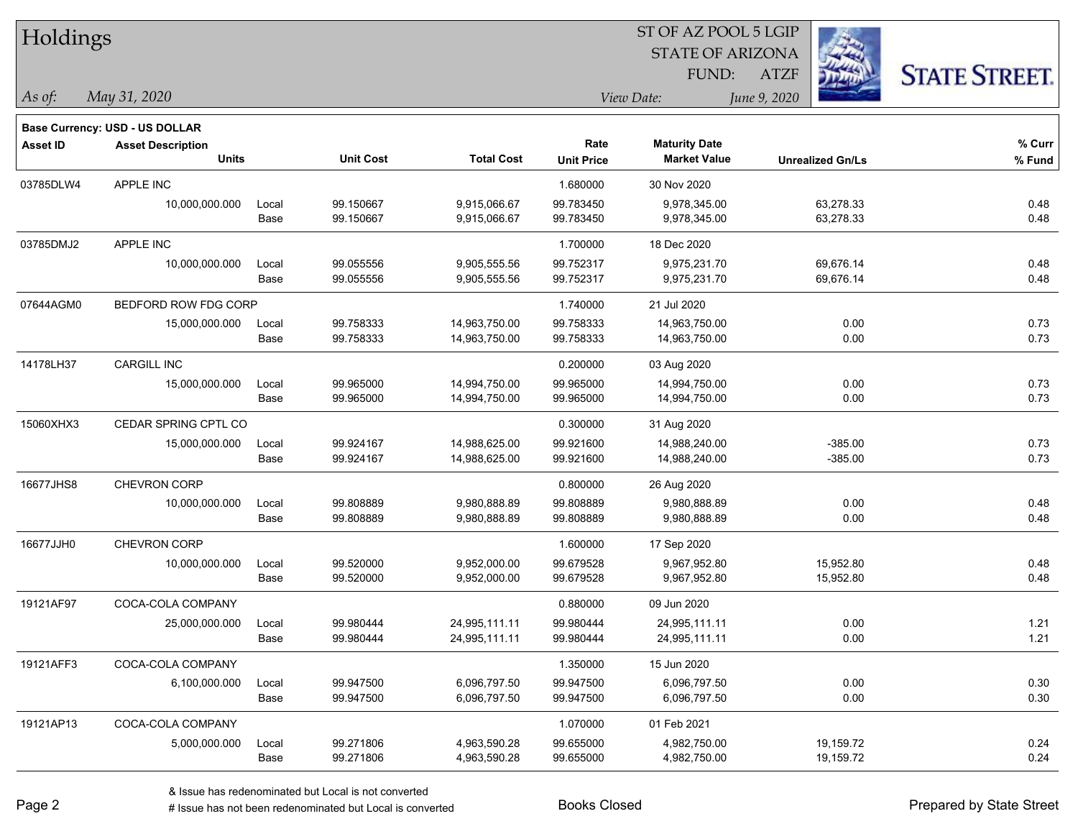| Holdings        |                                |       |                  |                   |                   | ST OF AZ POOL 5 LGIP    |                         |                      |
|-----------------|--------------------------------|-------|------------------|-------------------|-------------------|-------------------------|-------------------------|----------------------|
|                 |                                |       |                  |                   |                   | <b>STATE OF ARIZONA</b> |                         |                      |
|                 |                                |       |                  |                   |                   | FUND:                   | <b>ATZF</b>             | <b>STATE STREET.</b> |
| As of:          | May 31, 2020                   |       |                  |                   |                   | View Date:              | June 9, 2020            |                      |
|                 | Base Currency: USD - US DOLLAR |       |                  |                   |                   |                         |                         |                      |
| <b>Asset ID</b> | <b>Asset Description</b>       |       |                  |                   | Rate              | <b>Maturity Date</b>    |                         | % Curr               |
|                 | <b>Units</b>                   |       | <b>Unit Cost</b> | <b>Total Cost</b> | <b>Unit Price</b> | <b>Market Value</b>     | <b>Unrealized Gn/Ls</b> | % Fund               |
| 03785DLW4       | APPLE INC                      |       |                  |                   | 1.680000          | 30 Nov 2020             |                         |                      |
|                 | 10,000,000.000                 | Local | 99.150667        | 9,915,066.67      | 99.783450         | 9,978,345.00            | 63,278.33               | 0.48                 |
|                 |                                | Base  | 99.150667        | 9,915,066.67      | 99.783450         | 9,978,345.00            | 63,278.33               | 0.48                 |
| 03785DMJ2       | APPLE INC                      |       |                  |                   | 1.700000          | 18 Dec 2020             |                         |                      |
|                 | 10,000,000.000                 | Local | 99.055556        | 9,905,555.56      | 99.752317         | 9,975,231.70            | 69,676.14               | 0.48                 |
|                 |                                | Base  | 99.055556        | 9,905,555.56      | 99.752317         | 9,975,231.70            | 69,676.14               | 0.48                 |
| 07644AGM0       | BEDFORD ROW FDG CORP           |       |                  |                   | 1.740000          | 21 Jul 2020             |                         |                      |
|                 | 15,000,000.000                 | Local | 99.758333        | 14,963,750.00     | 99.758333         | 14,963,750.00           | 0.00                    | 0.73                 |
|                 |                                | Base  | 99.758333        | 14,963,750.00     | 99.758333         | 14,963,750.00           | 0.00                    | 0.73                 |
| 14178LH37       | <b>CARGILL INC</b>             |       |                  |                   | 0.200000          | 03 Aug 2020             |                         |                      |
|                 | 15,000,000.000                 | Local | 99.965000        | 14,994,750.00     | 99.965000         | 14,994,750.00           | 0.00                    | 0.73                 |
|                 |                                | Base  | 99.965000        | 14,994,750.00     | 99.965000         | 14,994,750.00           | 0.00                    | 0.73                 |
| 15060XHX3       | CEDAR SPRING CPTL CO           |       |                  |                   | 0.300000          | 31 Aug 2020             |                         |                      |
|                 | 15,000,000.000                 | Local | 99.924167        | 14,988,625.00     | 99.921600         | 14,988,240.00           | $-385.00$               | 0.73                 |
|                 |                                | Base  | 99.924167        | 14,988,625.00     | 99.921600         | 14,988,240.00           | $-385.00$               | 0.73                 |
| 16677JHS8       | <b>CHEVRON CORP</b>            |       |                  |                   | 0.800000          | 26 Aug 2020             |                         |                      |
|                 | 10,000,000.000                 | Local | 99.808889        | 9,980,888.89      | 99.808889         | 9,980,888.89            | 0.00                    | 0.48                 |
|                 |                                | Base  | 99.808889        | 9,980,888.89      | 99.808889         | 9,980,888.89            | 0.00                    | 0.48                 |
| 16677JJH0       | CHEVRON CORP                   |       |                  |                   | 1.600000          | 17 Sep 2020             |                         |                      |
|                 | 10,000,000.000                 | Local | 99.520000        | 9,952,000.00      | 99.679528         | 9,967,952.80            | 15,952.80               | 0.48                 |
|                 |                                | Base  | 99.520000        | 9,952,000.00      | 99.679528         | 9,967,952.80            | 15,952.80               | 0.48                 |
| 19121AF97       | COCA-COLA COMPANY              |       |                  |                   | 0.880000          | 09 Jun 2020             |                         |                      |
|                 | 25,000,000.000                 | Local | 99.980444        | 24,995,111.11     | 99.980444         | 24,995,111.11           | 0.00                    | 1.21                 |
|                 |                                | Base  | 99.980444        | 24,995,111.11     | 99.980444         | 24,995,111.11           | 0.00                    | 1.21                 |
| 19121AFF3       | COCA-COLA COMPANY              |       |                  |                   | 1.350000          | 15 Jun 2020             |                         |                      |
|                 | 6,100,000.000                  | Local | 99.947500        | 6,096,797.50      | 99.947500         | 6,096,797.50            | 0.00                    | 0.30                 |
|                 |                                | Base  | 99.947500        | 6,096,797.50      | 99.947500         | 6,096,797.50            | 0.00                    | 0.30                 |
| 19121AP13       | COCA-COLA COMPANY              |       |                  |                   | 1.070000          | 01 Feb 2021             |                         |                      |
|                 | 5,000,000.000                  | Local | 99.271806        | 4,963,590.28      | 99.655000         | 4,982,750.00            | 19,159.72               | 0.24                 |
|                 |                                | Base  | 99.271806        | 4,963,590.28      | 99.655000         | 4,982,750.00            | 19,159.72               | 0.24                 |

denote the redenominated but Local is converted Books Closed Prepared by State Street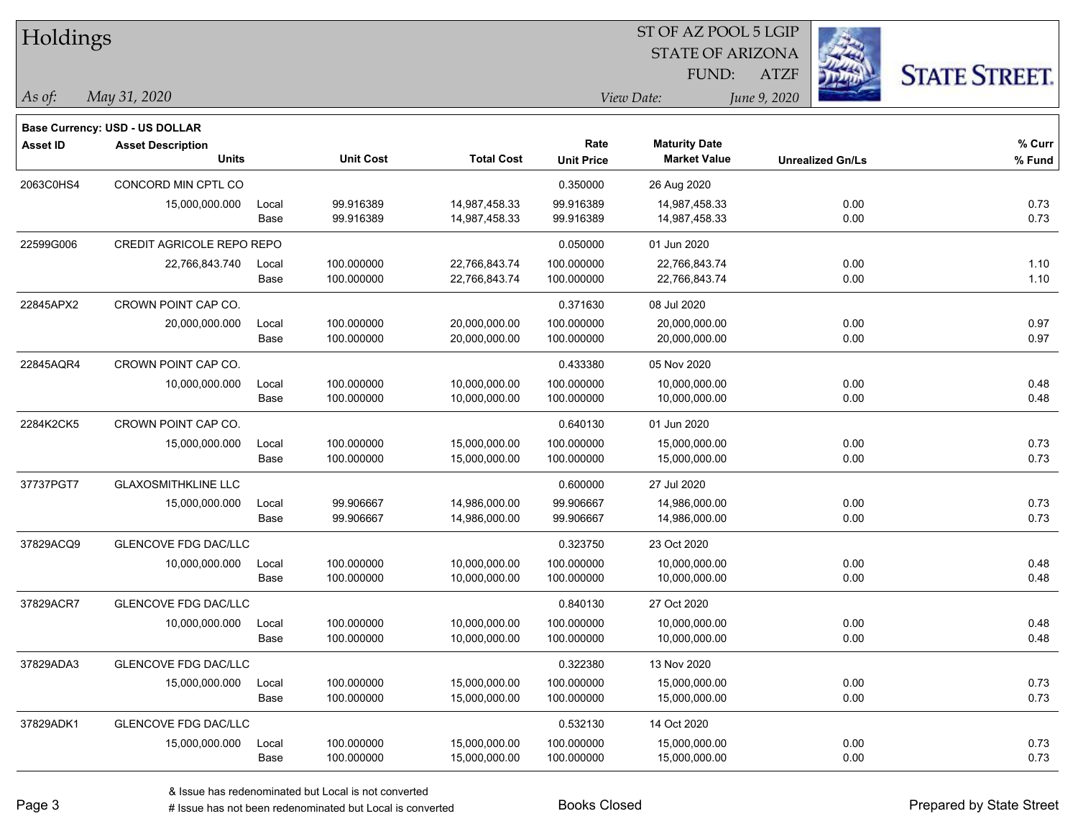| Holdings        |                                       |       |                  |                   | 51 OF AZ POOL 5 LGIP |                         |              |                         |                      |  |
|-----------------|---------------------------------------|-------|------------------|-------------------|----------------------|-------------------------|--------------|-------------------------|----------------------|--|
|                 |                                       |       |                  |                   |                      | <b>STATE OF ARIZONA</b> |              | Ż.                      |                      |  |
|                 |                                       |       |                  |                   |                      | FUND:                   | <b>ATZF</b>  |                         | <b>STATE STREET.</b> |  |
| As of:          | May 31, 2020                          |       |                  |                   |                      | View Date:              | June 9, 2020 |                         |                      |  |
|                 | <b>Base Currency: USD - US DOLLAR</b> |       |                  |                   |                      |                         |              |                         |                      |  |
| <b>Asset ID</b> | <b>Asset Description</b>              |       |                  |                   | Rate                 | <b>Maturity Date</b>    |              |                         | $%$ Curr             |  |
|                 | <b>Units</b>                          |       | <b>Unit Cost</b> | <b>Total Cost</b> | <b>Unit Price</b>    | <b>Market Value</b>     |              | <b>Unrealized Gn/Ls</b> | % Fund               |  |
| 2063C0HS4       | CONCORD MIN CPTL CO                   |       |                  |                   | 0.350000             | 26 Aug 2020             |              |                         |                      |  |
|                 | 15,000,000.000                        | Local | 99.916389        | 14,987,458.33     | 99.916389            | 14,987,458.33           |              | 0.00                    | 0.73                 |  |
|                 |                                       | Base  | 99.916389        | 14,987,458.33     | 99.916389            | 14,987,458.33           |              | 0.00                    | 0.73                 |  |
| 22599G006       | CREDIT AGRICOLE REPO REPO             |       |                  |                   | 0.050000             | 01 Jun 2020             |              |                         |                      |  |
|                 | 22,766,843.740                        | Local | 100.000000       | 22,766,843.74     | 100.000000           | 22,766,843.74           |              | 0.00                    | 1.10                 |  |
|                 |                                       | Base  | 100.000000       | 22,766,843.74     | 100.000000           | 22,766,843.74           |              | 0.00                    | 1.10                 |  |
| 22845APX2       | CROWN POINT CAP CO.                   |       |                  |                   | 0.371630             | 08 Jul 2020             |              |                         |                      |  |
|                 | 20,000,000.000                        | Local | 100.000000       | 20,000,000.00     | 100.000000           | 20,000,000.00           |              | 0.00                    | 0.97                 |  |
|                 |                                       | Base  | 100.000000       | 20,000,000.00     | 100.000000           | 20,000,000.00           |              | 0.00                    | 0.97                 |  |
| 22845AQR4       | CROWN POINT CAP CO.                   |       |                  |                   | 0.433380             | 05 Nov 2020             |              |                         |                      |  |
|                 | 10,000,000.000                        | Local | 100.000000       | 10,000,000.00     | 100.000000           | 10,000,000.00           |              | 0.00                    | 0.48                 |  |
|                 |                                       | Base  | 100.000000       | 10,000,000.00     | 100.000000           | 10,000,000.00           |              | 0.00                    | 0.48                 |  |
| 2284K2CK5       | CROWN POINT CAP CO.                   |       |                  |                   | 0.640130             | 01 Jun 2020             |              |                         |                      |  |
|                 | 15,000,000.000                        | Local | 100.000000       | 15,000,000.00     | 100.000000           | 15,000,000.00           |              | 0.00                    | 0.73                 |  |
|                 |                                       | Base  | 100.000000       | 15,000,000.00     | 100.000000           | 15,000,000.00           |              | 0.00                    | 0.73                 |  |
| 37737PGT7       | <b>GLAXOSMITHKLINE LLC</b>            |       |                  |                   | 0.600000             | 27 Jul 2020             |              |                         |                      |  |
|                 | 15,000,000.000                        | Local | 99.906667        | 14,986,000.00     | 99.906667            | 14,986,000.00           |              | 0.00                    | 0.73                 |  |
|                 |                                       | Base  | 99.906667        | 14,986,000.00     | 99.906667            | 14,986,000.00           |              | 0.00                    | 0.73                 |  |
| 37829ACQ9       | <b>GLENCOVE FDG DAC/LLC</b>           |       |                  |                   | 0.323750             | 23 Oct 2020             |              |                         |                      |  |
|                 | 10,000,000.000                        | Local | 100.000000       | 10,000,000.00     | 100.000000           | 10,000,000.00           |              | 0.00                    | 0.48                 |  |
|                 |                                       | Base  | 100.000000       | 10,000,000.00     | 100.000000           | 10,000,000.00           |              | 0.00                    | 0.48                 |  |
| 37829ACR7       | <b>GLENCOVE FDG DAC/LLC</b>           |       |                  |                   | 0.840130             | 27 Oct 2020             |              |                         |                      |  |
|                 | 10,000,000.000                        | Local | 100.000000       | 10,000,000.00     | 100.000000           | 10,000,000.00           |              | 0.00                    | 0.48                 |  |
|                 |                                       | Base  | 100.000000       | 10,000,000.00     | 100.000000           | 10,000,000.00           |              | 0.00                    | 0.48                 |  |
| 37829ADA3       | <b>GLENCOVE FDG DAC/LLC</b>           |       |                  |                   | 0.322380             | 13 Nov 2020             |              |                         |                      |  |
|                 | 15,000,000.000                        | Local | 100.000000       | 15,000,000.00     | 100.000000           | 15,000,000.00           |              | 0.00                    | 0.73                 |  |
|                 |                                       | Base  | 100.000000       | 15,000,000.00     | 100.000000           | 15,000,000.00           |              | 0.00                    | 0.73                 |  |
| 37829ADK1       | <b>GLENCOVE FDG DAC/LLC</b>           |       |                  |                   | 0.532130             | 14 Oct 2020             |              |                         |                      |  |
|                 | 15,000,000.000                        | Local | 100.000000       | 15,000,000.00     | 100.000000           | 15,000,000.00           |              | 0.00                    | 0.73                 |  |
|                 |                                       | Base  | 100.000000       | 15,000,000.00     | 100.000000           | 15,000,000.00           |              | 0.00                    | 0.73                 |  |

 $ST$  OF AZ POOL 5 LGIP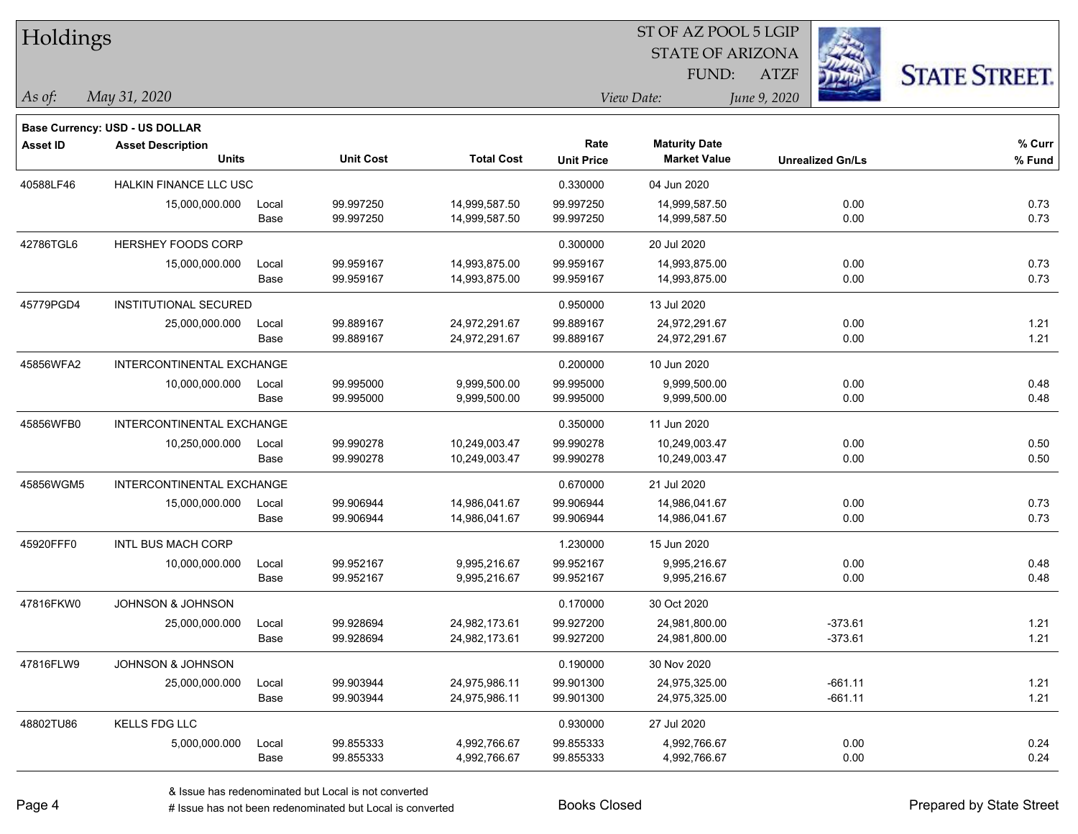| <b>Holdings</b> |                                       |       |                  |                   | 51 OF AZ POOL 5 LGIP |                         |                         |                      |  |  |
|-----------------|---------------------------------------|-------|------------------|-------------------|----------------------|-------------------------|-------------------------|----------------------|--|--|
|                 |                                       |       |                  |                   |                      | <b>STATE OF ARIZONA</b> | in.                     |                      |  |  |
|                 |                                       |       |                  |                   |                      | FUND:                   | <b>ATZF</b>             | <b>STATE STREET.</b> |  |  |
| As of:          | May 31, 2020                          |       |                  |                   |                      | View Date:              | June 9, 2020            |                      |  |  |
|                 | <b>Base Currency: USD - US DOLLAR</b> |       |                  |                   |                      |                         |                         |                      |  |  |
| <b>Asset ID</b> | <b>Asset Description</b>              |       |                  |                   | Rate                 | <b>Maturity Date</b>    |                         | $%$ Curr             |  |  |
|                 | <b>Units</b>                          |       | <b>Unit Cost</b> | <b>Total Cost</b> | <b>Unit Price</b>    | <b>Market Value</b>     | <b>Unrealized Gn/Ls</b> | % Fund               |  |  |
| 40588LF46       | <b>HALKIN FINANCE LLC USC</b>         |       |                  |                   | 0.330000             | 04 Jun 2020             |                         |                      |  |  |
|                 | 15,000,000.000                        | Local | 99.997250        | 14,999,587.50     | 99.997250            | 14,999,587.50           | 0.00                    | 0.73                 |  |  |
|                 |                                       | Base  | 99.997250        | 14,999,587.50     | 99.997250            | 14,999,587.50           | 0.00                    | 0.73                 |  |  |
| 42786TGL6       | <b>HERSHEY FOODS CORP</b>             |       |                  |                   | 0.300000             | 20 Jul 2020             |                         |                      |  |  |
|                 | 15,000,000.000                        | Local | 99.959167        | 14,993,875.00     | 99.959167            | 14,993,875.00           | 0.00                    | 0.73                 |  |  |
|                 |                                       | Base  | 99.959167        | 14,993,875.00     | 99.959167            | 14,993,875.00           | 0.00                    | 0.73                 |  |  |
| 45779PGD4       | INSTITUTIONAL SECURED                 |       |                  |                   | 0.950000             | 13 Jul 2020             |                         |                      |  |  |
|                 | 25,000,000.000                        | Local | 99.889167        | 24,972,291.67     | 99.889167            | 24,972,291.67           | 0.00                    | 1.21                 |  |  |
|                 |                                       | Base  | 99.889167        | 24,972,291.67     | 99.889167            | 24,972,291.67           | 0.00                    | 1.21                 |  |  |
| 45856WFA2       | <b>INTERCONTINENTAL EXCHANGE</b>      |       |                  |                   | 0.200000             | 10 Jun 2020             |                         |                      |  |  |
|                 | 10,000,000.000                        | Local | 99.995000        | 9,999,500.00      | 99.995000            | 9,999,500.00            | 0.00                    | 0.48                 |  |  |
|                 |                                       | Base  | 99.995000        | 9,999,500.00      | 99.995000            | 9,999,500.00            | 0.00                    | 0.48                 |  |  |
| 45856WFB0       | <b>INTERCONTINENTAL EXCHANGE</b>      |       |                  |                   | 0.350000             | 11 Jun 2020             |                         |                      |  |  |
|                 | 10,250,000.000                        | Local | 99.990278        | 10,249,003.47     | 99.990278            | 10,249,003.47           | 0.00                    | 0.50                 |  |  |
|                 |                                       | Base  | 99.990278        | 10,249,003.47     | 99.990278            | 10,249,003.47           | 0.00                    | 0.50                 |  |  |
| 45856WGM5       | INTERCONTINENTAL EXCHANGE             |       |                  |                   | 0.670000             | 21 Jul 2020             |                         |                      |  |  |
|                 | 15,000,000.000                        | Local | 99.906944        | 14,986,041.67     | 99.906944            | 14,986,041.67           | 0.00                    | 0.73                 |  |  |
|                 |                                       | Base  | 99.906944        | 14,986,041.67     | 99.906944            | 14,986,041.67           | 0.00                    | 0.73                 |  |  |
| 45920FFF0       | <b>INTL BUS MACH CORP</b>             |       |                  |                   | 1.230000             | 15 Jun 2020             |                         |                      |  |  |
|                 | 10,000,000.000                        | Local | 99.952167        | 9,995,216.67      | 99.952167            | 9,995,216.67            | 0.00                    | 0.48                 |  |  |
|                 |                                       | Base  | 99.952167        | 9,995,216.67      | 99.952167            | 9,995,216.67            | 0.00                    | 0.48                 |  |  |
| 47816FKW0       | <b>JOHNSON &amp; JOHNSON</b>          |       |                  |                   | 0.170000             | 30 Oct 2020             |                         |                      |  |  |
|                 | 25,000,000.000                        | Local | 99.928694        | 24,982,173.61     | 99.927200            | 24,981,800.00           | $-373.61$               | 1.21                 |  |  |
|                 |                                       | Base  | 99.928694        | 24,982,173.61     | 99.927200            | 24,981,800.00           | $-373.61$               | 1.21                 |  |  |
| 47816FLW9       | <b>JOHNSON &amp; JOHNSON</b>          |       |                  |                   | 0.190000             | 30 Nov 2020             |                         |                      |  |  |
|                 | 25,000,000.000                        | Local | 99.903944        | 24,975,986.11     | 99.901300            | 24,975,325.00           | $-661.11$               | 1.21                 |  |  |
|                 |                                       | Base  | 99.903944        | 24,975,986.11     | 99.901300            | 24,975,325.00           | $-661.11$               | 1.21                 |  |  |
| 48802TU86       | <b>KELLS FDG LLC</b>                  |       |                  |                   | 0.930000             | 27 Jul 2020             |                         |                      |  |  |
|                 | 5,000,000.000                         | Local | 99.855333        | 4,992,766.67      | 99.855333            | 4,992,766.67            | 0.00                    | 0.24                 |  |  |
|                 |                                       | Base  | 99.855333        | 4,992,766.67      | 99.855333            | 4,992,766.67            | 0.00                    | 0.24                 |  |  |

 $ST$  OF AZ POOL 5 LGIP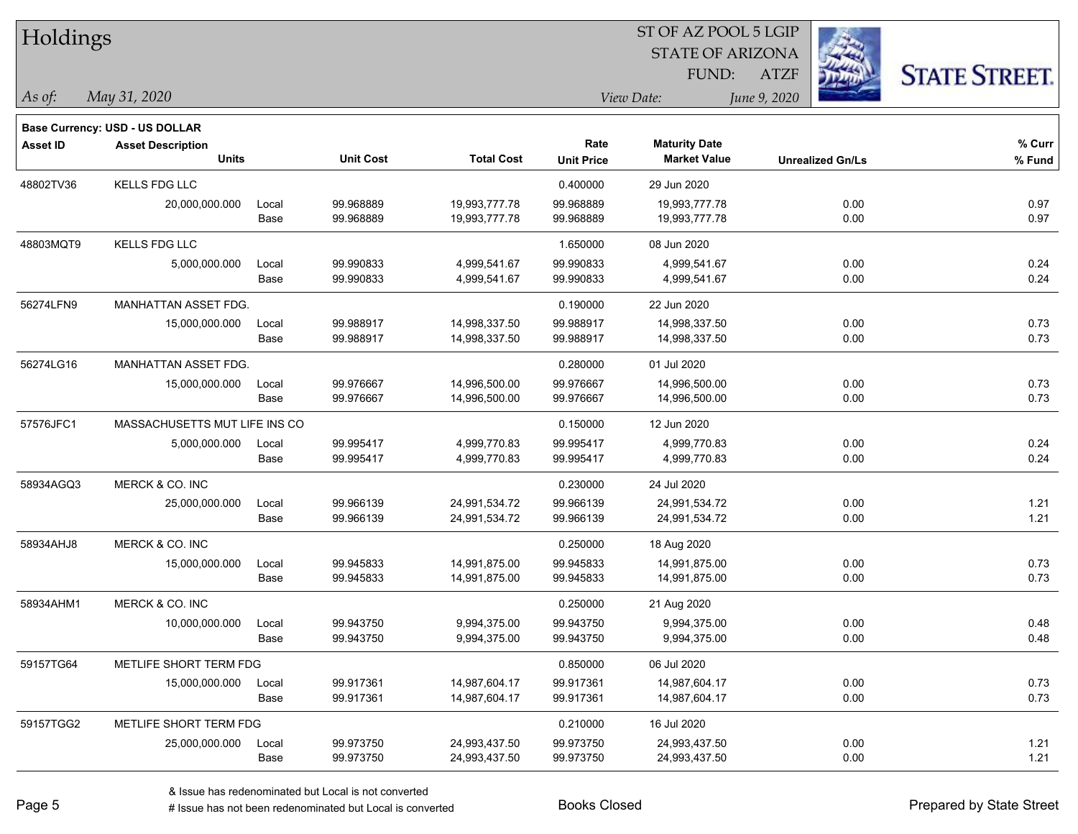| Holdings        |                                          |       |                  |                   |                           | ST OF AZ POOL 5 LGIP                        |                         |                      |
|-----------------|------------------------------------------|-------|------------------|-------------------|---------------------------|---------------------------------------------|-------------------------|----------------------|
|                 |                                          |       |                  |                   |                           | <b>STATE OF ARIZONA</b>                     |                         |                      |
|                 |                                          |       |                  |                   |                           | FUND:                                       | <b>ATZF</b>             | <b>STATE STREET.</b> |
| As of:          | May 31, 2020                             |       |                  |                   |                           | View Date:                                  | June 9, 2020            |                      |
|                 |                                          |       |                  |                   |                           |                                             |                         |                      |
|                 | <b>Base Currency: USD - US DOLLAR</b>    |       |                  |                   |                           |                                             |                         |                      |
| <b>Asset ID</b> | <b>Asset Description</b><br><b>Units</b> |       | <b>Unit Cost</b> | <b>Total Cost</b> | Rate<br><b>Unit Price</b> | <b>Maturity Date</b><br><b>Market Value</b> | <b>Unrealized Gn/Ls</b> | % Curr<br>$%$ Fund   |
| 48802TV36       | KELLS FDG LLC                            |       |                  |                   | 0.400000                  | 29 Jun 2020                                 |                         |                      |
|                 | 20,000,000.000                           | Local | 99.968889        | 19,993,777.78     | 99.968889                 | 19,993,777.78                               | 0.00                    | 0.97                 |
|                 |                                          | Base  | 99.968889        | 19,993,777.78     | 99.968889                 | 19,993,777.78                               | 0.00                    | 0.97                 |
| 48803MQT9       | <b>KELLS FDG LLC</b>                     |       |                  |                   | 1.650000                  | 08 Jun 2020                                 |                         |                      |
|                 | 5,000,000.000                            | Local | 99.990833        | 4,999,541.67      | 99.990833                 | 4,999,541.67                                | 0.00                    | 0.24                 |
|                 |                                          | Base  | 99.990833        | 4,999,541.67      | 99.990833                 | 4,999,541.67                                | 0.00                    | 0.24                 |
| 56274LFN9       | MANHATTAN ASSET FDG.                     |       |                  |                   | 0.190000                  | 22 Jun 2020                                 |                         |                      |
|                 | 15,000,000.000                           | Local | 99.988917        | 14,998,337.50     | 99.988917                 | 14,998,337.50                               | 0.00                    | 0.73                 |
|                 |                                          | Base  | 99.988917        | 14,998,337.50     | 99.988917                 | 14,998,337.50                               | 0.00                    | 0.73                 |
| 56274LG16       | MANHATTAN ASSET FDG.                     |       |                  |                   | 0.280000                  | 01 Jul 2020                                 |                         |                      |
|                 | 15,000,000.000                           | Local | 99.976667        | 14,996,500.00     | 99.976667                 | 14,996,500.00                               | 0.00                    | 0.73                 |
|                 |                                          | Base  | 99.976667        | 14,996,500.00     | 99.976667                 | 14,996,500.00                               | 0.00                    | 0.73                 |
| 57576JFC1       | MASSACHUSETTS MUT LIFE INS CO            |       |                  |                   | 0.150000                  | 12 Jun 2020                                 |                         |                      |
|                 | 5,000,000.000                            | Local | 99.995417        | 4,999,770.83      | 99.995417                 | 4,999,770.83                                | 0.00                    | 0.24                 |
|                 |                                          | Base  | 99.995417        | 4,999,770.83      | 99.995417                 | 4,999,770.83                                | 0.00                    | 0.24                 |
| 58934AGQ3       | MERCK & CO. INC                          |       |                  |                   | 0.230000                  | 24 Jul 2020                                 |                         |                      |
|                 | 25,000,000.000                           | Local | 99.966139        | 24,991,534.72     | 99.966139                 | 24,991,534.72                               | 0.00                    | 1.21                 |
|                 |                                          | Base  | 99.966139        | 24,991,534.72     | 99.966139                 | 24,991,534.72                               | 0.00                    | 1.21                 |
| 58934AHJ8       | MERCK & CO. INC                          |       |                  |                   | 0.250000                  | 18 Aug 2020                                 |                         |                      |
|                 | 15,000,000.000                           | Local | 99.945833        | 14,991,875.00     | 99.945833                 | 14,991,875.00                               | 0.00                    | 0.73                 |
|                 |                                          | Base  | 99.945833        | 14,991,875.00     | 99.945833                 | 14,991,875.00                               | 0.00                    | 0.73                 |
| 58934AHM1       | MERCK & CO. INC                          |       |                  |                   | 0.250000                  | 21 Aug 2020                                 |                         |                      |
|                 | 10,000,000.000                           | Local | 99.943750        | 9,994,375.00      | 99.943750                 | 9,994,375.00                                | 0.00                    | 0.48                 |
|                 |                                          | Base  | 99.943750        | 9,994,375.00      | 99.943750                 | 9,994,375.00                                | 0.00                    | 0.48                 |
| 59157TG64       | METLIFE SHORT TERM FDG                   |       |                  |                   | 0.850000                  | 06 Jul 2020                                 |                         |                      |
|                 | 15,000,000.000                           | Local | 99.917361        | 14,987,604.17     | 99.917361                 | 14,987,604.17                               | 0.00                    | 0.73                 |
|                 |                                          | Base  | 99.917361        | 14,987,604.17     | 99.917361                 | 14,987,604.17                               | 0.00                    | 0.73                 |
| 59157TGG2       | METLIFE SHORT TERM FDG                   |       |                  |                   | 0.210000                  | 16 Jul 2020                                 |                         |                      |
|                 | 25,000,000.000                           | Local | 99.973750        | 24,993,437.50     | 99.973750                 | 24,993,437.50                               | 0.00                    | 1.21                 |
|                 |                                          | Base  | 99.973750        | 24,993,437.50     | 99.973750                 | 24,993,437.50                               | 0.00                    | 1.21                 |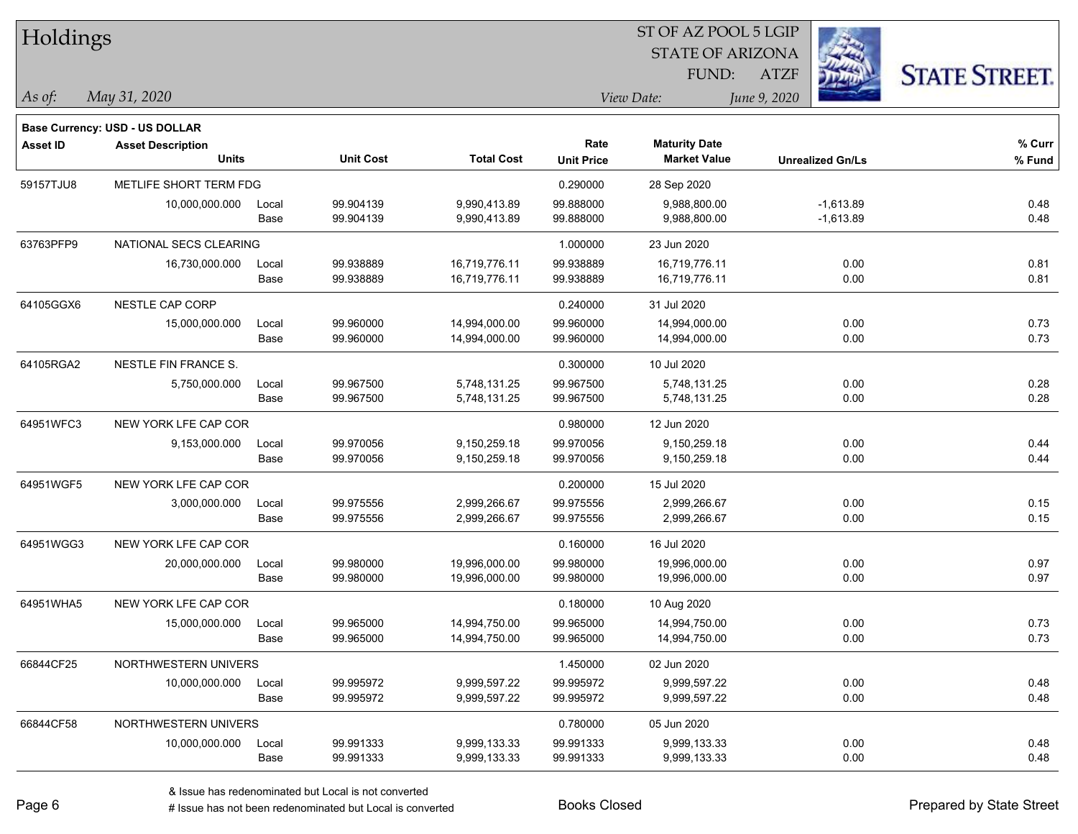| Holdings        |                                       |       |                  |                   |                   |                         |                         |                      |
|-----------------|---------------------------------------|-------|------------------|-------------------|-------------------|-------------------------|-------------------------|----------------------|
|                 |                                       |       |                  |                   |                   | <b>STATE OF ARIZONA</b> |                         |                      |
|                 |                                       |       |                  |                   |                   | FUND:                   | <b>ATZF</b>             | <b>STATE STREET.</b> |
| As of:          | May 31, 2020                          |       |                  |                   |                   | View Date:              | June 9, 2020            |                      |
|                 | <b>Base Currency: USD - US DOLLAR</b> |       |                  |                   |                   |                         |                         |                      |
| <b>Asset ID</b> | <b>Asset Description</b>              |       |                  |                   | Rate              | <b>Maturity Date</b>    |                         | % Curr               |
|                 | <b>Units</b>                          |       | <b>Unit Cost</b> | <b>Total Cost</b> | <b>Unit Price</b> | <b>Market Value</b>     | <b>Unrealized Gn/Ls</b> | % Fund               |
| 59157TJU8       | METLIFE SHORT TERM FDG                |       |                  |                   | 0.290000          | 28 Sep 2020             |                         |                      |
|                 | 10,000,000.000                        | Local | 99.904139        | 9,990,413.89      | 99.888000         | 9,988,800.00            | $-1,613.89$             | 0.48                 |
|                 |                                       | Base  | 99.904139        | 9,990,413.89      | 99.888000         | 9,988,800.00            | $-1,613.89$             | 0.48                 |
| 63763PFP9       | NATIONAL SECS CLEARING                |       |                  |                   | 1.000000          | 23 Jun 2020             |                         |                      |
|                 | 16,730,000.000                        | Local | 99.938889        | 16,719,776.11     | 99.938889         | 16,719,776.11           | 0.00                    | 0.81                 |
|                 |                                       | Base  | 99.938889        | 16,719,776.11     | 99.938889         | 16,719,776.11           | 0.00                    | 0.81                 |
| 64105GGX6       | NESTLE CAP CORP                       |       |                  |                   | 0.240000          | 31 Jul 2020             |                         |                      |
|                 | 15,000,000.000                        | Local | 99.960000        | 14,994,000.00     | 99.960000         | 14,994,000.00           | 0.00                    | 0.73                 |
|                 |                                       | Base  | 99.960000        | 14,994,000.00     | 99.960000         | 14,994,000.00           | 0.00                    | 0.73                 |
| 64105RGA2       | NESTLE FIN FRANCE S.                  |       |                  |                   | 0.300000          | 10 Jul 2020             |                         |                      |
|                 | 5,750,000.000                         | Local | 99.967500        | 5,748,131.25      | 99.967500         | 5,748,131.25            | 0.00                    | 0.28                 |
|                 |                                       | Base  | 99.967500        | 5,748,131.25      | 99.967500         | 5,748,131.25            | 0.00                    | 0.28                 |
| 64951WFC3       | NEW YORK LFE CAP COR                  |       |                  |                   | 0.980000          | 12 Jun 2020             |                         |                      |
|                 | 9,153,000.000                         | Local | 99.970056        | 9,150,259.18      | 99.970056         | 9,150,259.18            | 0.00                    | 0.44                 |
|                 |                                       | Base  | 99.970056        | 9,150,259.18      | 99.970056         | 9,150,259.18            | 0.00                    | 0.44                 |
| 64951WGF5       | NEW YORK LFE CAP COR                  |       |                  |                   | 0.200000          | 15 Jul 2020             |                         |                      |
|                 | 3,000,000.000                         | Local | 99.975556        | 2,999,266.67      | 99.975556         | 2,999,266.67            | 0.00                    | 0.15                 |
|                 |                                       | Base  | 99.975556        | 2,999,266.67      | 99.975556         | 2,999,266.67            | 0.00                    | 0.15                 |
| 64951WGG3       | NEW YORK LFE CAP COR                  |       |                  |                   | 0.160000          | 16 Jul 2020             |                         |                      |
|                 | 20,000,000.000                        | Local | 99.980000        | 19,996,000.00     | 99.980000         | 19,996,000.00           | 0.00                    | 0.97                 |
|                 |                                       | Base  | 99.980000        | 19,996,000.00     | 99.980000         | 19,996,000.00           | 0.00                    | 0.97                 |
| 64951WHA5       | NEW YORK LFE CAP COR                  |       |                  |                   | 0.180000          | 10 Aug 2020             |                         |                      |
|                 | 15,000,000.000                        | Local | 99.965000        | 14,994,750.00     | 99.965000         | 14,994,750.00           | 0.00                    | 0.73                 |
|                 |                                       | Base  | 99.965000        | 14,994,750.00     | 99.965000         | 14,994,750.00           | 0.00                    | 0.73                 |
| 66844CF25       | NORTHWESTERN UNIVERS                  |       |                  |                   | 1.450000          | 02 Jun 2020             |                         |                      |
|                 | 10,000,000.000                        | Local | 99.995972        | 9,999,597.22      | 99.995972         | 9,999,597.22            | 0.00                    | 0.48                 |
|                 |                                       | Base  | 99.995972        | 9,999,597.22      | 99.995972         | 9,999,597.22            | 0.00                    | 0.48                 |
| 66844CF58       | NORTHWESTERN UNIVERS                  |       |                  |                   | 0.780000          | 05 Jun 2020             |                         |                      |
|                 | 10,000,000.000                        | Local | 99.991333        | 9,999,133.33      | 99.991333         | 9,999,133.33            | 0.00                    | 0.48                 |
|                 |                                       | Base  | 99.991333        | 9,999,133.33      | 99.991333         | 9,999,133.33            | 0.00                    | 0.48                 |

denote the redenominated but Local is converted Books Closed Prepared by State Street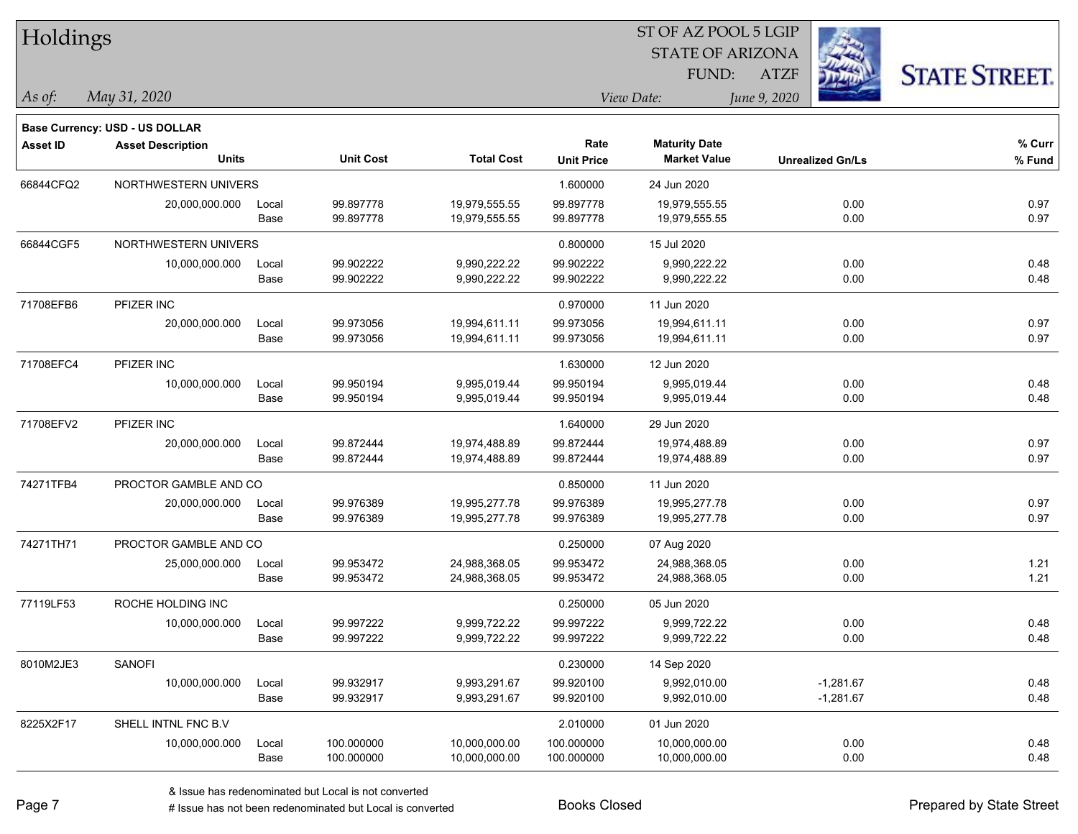| Holdings        |                                |       |                  |                   |                   | ST OF AZ POOL 5 LGIP    |              |                         |                      |
|-----------------|--------------------------------|-------|------------------|-------------------|-------------------|-------------------------|--------------|-------------------------|----------------------|
|                 |                                |       |                  |                   |                   | <b>STATE OF ARIZONA</b> |              |                         |                      |
|                 |                                |       |                  |                   |                   | FUND:                   | <b>ATZF</b>  |                         | <b>STATE STREET.</b> |
| As of:          | May 31, 2020                   |       |                  |                   |                   | View Date:              | June 9, 2020 |                         |                      |
|                 | Base Currency: USD - US DOLLAR |       |                  |                   |                   |                         |              |                         |                      |
| <b>Asset ID</b> | <b>Asset Description</b>       |       |                  |                   | Rate              | <b>Maturity Date</b>    |              |                         | % Curr               |
|                 | <b>Units</b>                   |       | <b>Unit Cost</b> | <b>Total Cost</b> | <b>Unit Price</b> | <b>Market Value</b>     |              | <b>Unrealized Gn/Ls</b> | % Fund               |
| 66844CFQ2       | NORTHWESTERN UNIVERS           |       |                  |                   | 1.600000          | 24 Jun 2020             |              |                         |                      |
|                 | 20,000,000.000                 | Local | 99.897778        | 19,979,555.55     | 99.897778         | 19,979,555.55           |              | 0.00                    | 0.97                 |
|                 |                                | Base  | 99.897778        | 19,979,555.55     | 99.897778         | 19,979,555.55           |              | 0.00                    | 0.97                 |
| 66844CGF5       | NORTHWESTERN UNIVERS           |       |                  |                   | 0.800000          | 15 Jul 2020             |              |                         |                      |
|                 | 10,000,000.000                 | Local | 99.902222        | 9,990,222.22      | 99.902222         | 9,990,222.22            |              | 0.00                    | 0.48                 |
|                 |                                | Base  | 99.902222        | 9,990,222.22      | 99.902222         | 9,990,222.22            |              | 0.00                    | 0.48                 |
| 71708EFB6       | PFIZER INC                     |       |                  |                   | 0.970000          | 11 Jun 2020             |              |                         |                      |
|                 | 20,000,000.000                 | Local | 99.973056        | 19,994,611.11     | 99.973056         | 19,994,611.11           |              | 0.00                    | 0.97                 |
|                 |                                | Base  | 99.973056        | 19,994,611.11     | 99.973056         | 19,994,611.11           |              | 0.00                    | 0.97                 |
| 71708EFC4       | PFIZER INC                     |       |                  |                   | 1.630000          | 12 Jun 2020             |              |                         |                      |
|                 | 10,000,000.000                 | Local | 99.950194        | 9,995,019.44      | 99.950194         | 9.995.019.44            |              | 0.00                    | 0.48                 |
|                 |                                | Base  | 99.950194        | 9,995,019.44      | 99.950194         | 9,995,019.44            |              | 0.00                    | 0.48                 |
| 71708EFV2       | PFIZER INC                     |       |                  |                   | 1.640000          | 29 Jun 2020             |              |                         |                      |
|                 | 20,000,000.000                 | Local | 99.872444        | 19,974,488.89     | 99.872444         | 19,974,488.89           |              | 0.00                    | 0.97                 |
|                 |                                | Base  | 99.872444        | 19,974,488.89     | 99.872444         | 19,974,488.89           |              | 0.00                    | 0.97                 |
| 74271TFB4       | PROCTOR GAMBLE AND CO          |       |                  |                   | 0.850000          | 11 Jun 2020             |              |                         |                      |
|                 | 20,000,000.000                 | Local | 99.976389        | 19,995,277.78     | 99.976389         | 19,995,277.78           |              | 0.00                    | 0.97                 |
|                 |                                | Base  | 99.976389        | 19,995,277.78     | 99.976389         | 19,995,277.78           |              | 0.00                    | 0.97                 |
| 74271TH71       | PROCTOR GAMBLE AND CO          |       |                  |                   | 0.250000          | 07 Aug 2020             |              |                         |                      |
|                 | 25,000,000.000                 | Local | 99.953472        | 24,988,368.05     | 99.953472         | 24,988,368.05           |              | 0.00                    | 1.21                 |
|                 |                                | Base  | 99.953472        | 24,988,368.05     | 99.953472         | 24,988,368.05           |              | 0.00                    | 1.21                 |
| 77119LF53       | ROCHE HOLDING INC              |       |                  |                   | 0.250000          | 05 Jun 2020             |              |                         |                      |
|                 | 10,000,000.000                 | Local | 99.997222        | 9,999,722.22      | 99.997222         | 9,999,722.22            |              | 0.00                    | 0.48                 |
|                 |                                | Base  | 99.997222        | 9,999,722.22      | 99.997222         | 9,999,722.22            |              | 0.00                    | 0.48                 |
| 8010M2JE3       | SANOFI                         |       |                  |                   | 0.230000          | 14 Sep 2020             |              |                         |                      |
|                 | 10,000,000.000                 | Local | 99.932917        | 9,993,291.67      | 99.920100         | 9,992,010.00            |              | $-1,281.67$             | 0.48                 |
|                 |                                | Base  | 99.932917        | 9,993,291.67      | 99.920100         | 9,992,010.00            |              | $-1,281.67$             | 0.48                 |
| 8225X2F17       | SHELL INTNL FNC B.V            |       |                  |                   | 2.010000          | 01 Jun 2020             |              |                         |                      |
|                 | 10,000,000.000                 | Local | 100.000000       | 10,000,000.00     | 100.000000        | 10,000,000.00           |              | 0.00                    | 0.48                 |
|                 |                                | Base  | 100.000000       | 10,000,000.00     | 100.000000        | 10,000,000.00           |              | 0.00                    | 0.48                 |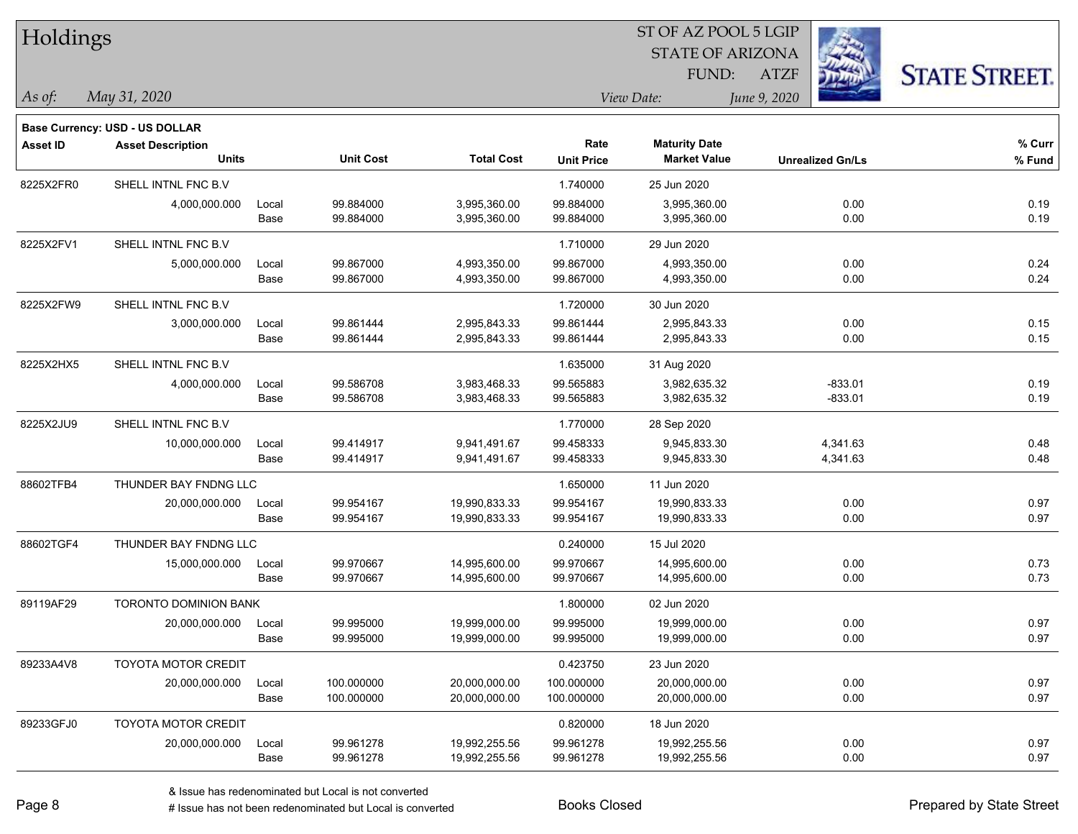| Holdings        |                                       |       |                  |                   |                   |                         |              |                         |                      |
|-----------------|---------------------------------------|-------|------------------|-------------------|-------------------|-------------------------|--------------|-------------------------|----------------------|
|                 |                                       |       |                  |                   |                   | <b>STATE OF ARIZONA</b> |              |                         |                      |
|                 |                                       |       |                  |                   |                   | FUND:                   | <b>ATZF</b>  |                         | <b>STATE STREET.</b> |
| As of:          | May 31, 2020                          |       |                  |                   |                   | View Date:              | June 9, 2020 |                         |                      |
|                 | <b>Base Currency: USD - US DOLLAR</b> |       |                  |                   |                   |                         |              |                         |                      |
| <b>Asset ID</b> | <b>Asset Description</b>              |       |                  |                   | Rate              | <b>Maturity Date</b>    |              |                         | % Curr               |
|                 | <b>Units</b>                          |       | <b>Unit Cost</b> | <b>Total Cost</b> | <b>Unit Price</b> | <b>Market Value</b>     |              | <b>Unrealized Gn/Ls</b> | % Fund               |
| 8225X2FR0       | SHELL INTNL FNC B.V                   |       |                  |                   | 1.740000          | 25 Jun 2020             |              |                         |                      |
|                 | 4,000,000.000                         | Local | 99.884000        | 3,995,360.00      | 99.884000         | 3,995,360.00            |              | 0.00                    | 0.19                 |
|                 |                                       | Base  | 99.884000        | 3,995,360.00      | 99.884000         | 3,995,360.00            |              | 0.00                    | 0.19                 |
| 8225X2FV1       | SHELL INTNL FNC B.V                   |       |                  |                   | 1.710000          | 29 Jun 2020             |              |                         |                      |
|                 | 5,000,000.000                         | Local | 99.867000        | 4,993,350.00      | 99.867000         | 4,993,350.00            |              | 0.00                    | 0.24                 |
|                 |                                       | Base  | 99.867000        | 4,993,350.00      | 99.867000         | 4,993,350.00            |              | 0.00                    | 0.24                 |
| 8225X2FW9       | SHELL INTNL FNC B.V                   |       |                  |                   | 1.720000          | 30 Jun 2020             |              |                         |                      |
|                 | 3,000,000.000                         | Local | 99.861444        | 2,995,843.33      | 99.861444         | 2,995,843.33            |              | 0.00                    | 0.15                 |
|                 |                                       | Base  | 99.861444        | 2,995,843.33      | 99.861444         | 2,995,843.33            |              | 0.00                    | 0.15                 |
| 8225X2HX5       | SHELL INTNL FNC B.V                   |       |                  |                   | 1.635000          | 31 Aug 2020             |              |                         |                      |
|                 | 4,000,000.000                         | Local | 99.586708        | 3,983,468.33      | 99.565883         | 3,982,635.32            |              | $-833.01$               | 0.19                 |
|                 |                                       | Base  | 99.586708        | 3,983,468.33      | 99.565883         | 3,982,635.32            |              | $-833.01$               | 0.19                 |
| 8225X2JU9       | SHELL INTNL FNC B.V                   |       |                  |                   | 1.770000          | 28 Sep 2020             |              |                         |                      |
|                 | 10,000,000.000                        | Local | 99.414917        | 9,941,491.67      | 99.458333         | 9,945,833.30            |              | 4,341.63                | 0.48                 |
|                 |                                       | Base  | 99.414917        | 9,941,491.67      | 99.458333         | 9,945,833.30            |              | 4,341.63                | 0.48                 |
| 88602TFB4       | THUNDER BAY FNDNG LLC                 |       |                  |                   | 1.650000          | 11 Jun 2020             |              |                         |                      |
|                 | 20,000,000.000                        | Local | 99.954167        | 19,990,833.33     | 99.954167         | 19,990,833.33           |              | 0.00                    | 0.97                 |
|                 |                                       | Base  | 99.954167        | 19,990,833.33     | 99.954167         | 19,990,833.33           |              | 0.00                    | 0.97                 |
| 88602TGF4       | THUNDER BAY FNDNG LLC                 |       |                  |                   | 0.240000          | 15 Jul 2020             |              |                         |                      |
|                 | 15,000,000.000                        | Local | 99.970667        | 14,995,600.00     | 99.970667         | 14,995,600.00           |              | 0.00                    | 0.73                 |
|                 |                                       | Base  | 99.970667        | 14,995,600.00     | 99.970667         | 14,995,600.00           |              | 0.00                    | 0.73                 |
| 89119AF29       | <b>TORONTO DOMINION BANK</b>          |       |                  |                   | 1.800000          | 02 Jun 2020             |              |                         |                      |
|                 | 20,000,000.000                        | Local | 99.995000        | 19,999,000.00     | 99.995000         | 19,999,000.00           |              | 0.00                    | 0.97                 |
|                 |                                       | Base  | 99.995000        | 19,999,000.00     | 99.995000         | 19,999,000.00           |              | 0.00                    | 0.97                 |
| 89233A4V8       | <b>TOYOTA MOTOR CREDIT</b>            |       |                  |                   | 0.423750          | 23 Jun 2020             |              |                         |                      |
|                 | 20,000,000.000                        | Local | 100.000000       | 20,000,000.00     | 100.000000        | 20,000,000.00           |              | 0.00                    | 0.97                 |
|                 |                                       | Base  | 100.000000       | 20,000,000.00     | 100.000000        | 20,000,000.00           |              | 0.00                    | 0.97                 |
| 89233GFJ0       | <b>TOYOTA MOTOR CREDIT</b>            |       |                  |                   | 0.820000          | 18 Jun 2020             |              |                         |                      |
|                 | 20,000,000.000                        | Local | 99.961278        | 19,992,255.56     | 99.961278         | 19,992,255.56           |              | 0.00                    | 0.97                 |
|                 |                                       | Base  | 99.961278        | 19,992,255.56     | 99.961278         | 19,992,255.56           |              | 0.00                    | 0.97                 |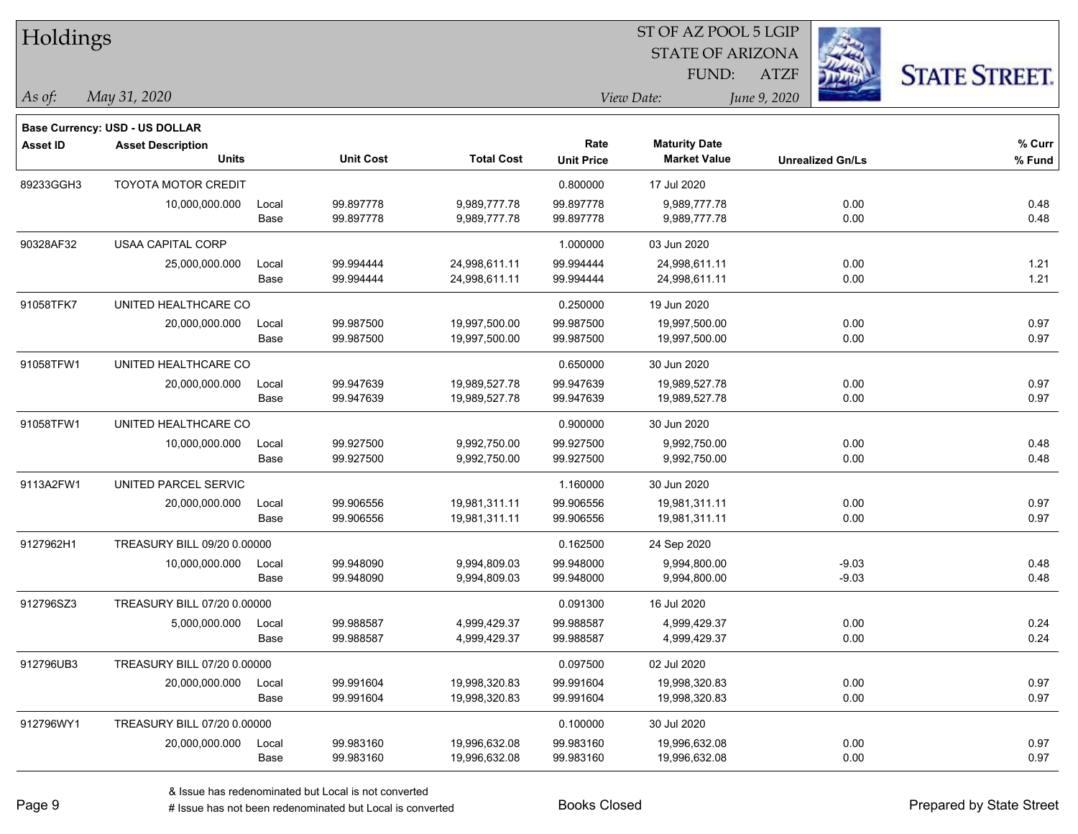| Holdings        |                                          |       |                  |                   |                   | ST OF AZ POOL 5 LGIP                        |                         |                      |
|-----------------|------------------------------------------|-------|------------------|-------------------|-------------------|---------------------------------------------|-------------------------|----------------------|
|                 |                                          |       |                  |                   |                   | <b>STATE OF ARIZONA</b>                     |                         |                      |
|                 |                                          |       |                  |                   |                   | FUND:                                       | <b>ATZF</b>             | <b>STATE STREET.</b> |
| As of:          | May 31, 2020                             |       |                  |                   | View Date:        |                                             | June 9, 2020            |                      |
|                 |                                          |       |                  |                   |                   |                                             |                         |                      |
|                 | <b>Base Currency: USD - US DOLLAR</b>    |       |                  |                   | Rate              |                                             |                         | % Curr               |
| <b>Asset ID</b> | <b>Asset Description</b><br><b>Units</b> |       | <b>Unit Cost</b> | <b>Total Cost</b> | <b>Unit Price</b> | <b>Maturity Date</b><br><b>Market Value</b> | <b>Unrealized Gn/Ls</b> | % Fund               |
| 89233GGH3       | <b>TOYOTA MOTOR CREDIT</b>               |       |                  |                   | 0.800000          | 17 Jul 2020                                 |                         |                      |
|                 | 10,000,000.000                           | Local | 99.897778        | 9,989,777.78      | 99.897778         | 9,989,777.78                                | 0.00                    | 0.48                 |
|                 |                                          | Base  | 99.897778        | 9,989,777.78      | 99.897778         | 9,989,777.78                                | 0.00                    | 0.48                 |
| 90328AF32       | USAA CAPITAL CORP                        |       |                  |                   | 1.000000          | 03 Jun 2020                                 |                         |                      |
|                 | 25,000,000.000                           | Local | 99.994444        | 24,998,611.11     | 99.994444         | 24,998,611.11                               | 0.00                    | 1.21                 |
|                 |                                          | Base  | 99.994444        | 24,998,611.11     | 99.994444         | 24,998,611.11                               | 0.00                    | 1.21                 |
| 91058TFK7       | UNITED HEALTHCARE CO                     |       |                  |                   | 0.250000          | 19 Jun 2020                                 |                         |                      |
|                 | 20,000,000.000                           | Local | 99.987500        | 19,997,500.00     | 99.987500         | 19,997,500.00                               | 0.00                    | 0.97                 |
|                 |                                          | Base  | 99.987500        | 19,997,500.00     | 99.987500         | 19,997,500.00                               | 0.00                    | 0.97                 |
| 91058TFW1       | UNITED HEALTHCARE CO                     |       |                  |                   | 0.650000          | 30 Jun 2020                                 |                         |                      |
|                 | 20,000,000.000                           | Local | 99.947639        | 19,989,527.78     | 99.947639         | 19,989,527.78                               | 0.00                    | 0.97                 |
|                 |                                          | Base  | 99.947639        | 19,989,527.78     | 99.947639         | 19,989,527.78                               | 0.00                    | 0.97                 |
| 91058TFW1       | UNITED HEALTHCARE CO                     |       |                  |                   | 0.900000          | 30 Jun 2020                                 |                         |                      |
|                 | 10,000,000.000                           | Local | 99.927500        | 9,992,750.00      | 99.927500         | 9,992,750.00                                | 0.00                    | 0.48                 |
|                 |                                          | Base  | 99.927500        | 9,992,750.00      | 99.927500         | 9,992,750.00                                | 0.00                    | 0.48                 |
| 9113A2FW1       | UNITED PARCEL SERVIC                     |       |                  |                   | 1.160000          | 30 Jun 2020                                 |                         |                      |
|                 | 20,000,000.000                           | Local | 99.906556        | 19,981,311.11     | 99.906556         | 19,981,311.11                               | 0.00                    | 0.97                 |
|                 |                                          | Base  | 99.906556        | 19,981,311.11     | 99.906556         | 19,981,311.11                               | 0.00                    | 0.97                 |
| 9127962H1       | TREASURY BILL 09/20 0.00000              |       |                  |                   | 0.162500          | 24 Sep 2020                                 |                         |                      |
|                 | 10,000,000.000                           | Local | 99.948090        | 9,994,809.03      | 99.948000         | 9,994,800.00                                | $-9.03$                 | 0.48                 |
|                 |                                          | Base  | 99.948090        | 9,994,809.03      | 99.948000         | 9,994,800.00                                | $-9.03$                 | 0.48                 |
| 912796SZ3       | TREASURY BILL 07/20 0.00000              |       |                  |                   | 0.091300          | 16 Jul 2020                                 |                         |                      |
|                 | 5,000,000.000                            | Local | 99.988587        | 4,999,429.37      | 99.988587         | 4,999,429.37                                | 0.00                    | 0.24                 |
|                 |                                          | Base  | 99.988587        | 4,999,429.37      | 99.988587         | 4,999,429.37                                | 0.00                    | 0.24                 |
| 912796UB3       | TREASURY BILL 07/20 0.00000              |       |                  |                   | 0.097500          | 02 Jul 2020                                 |                         |                      |
|                 | 20,000,000.000                           | Local | 99.991604        | 19,998,320.83     | 99.991604         | 19,998,320.83                               | 0.00                    | 0.97                 |
|                 |                                          | Base  | 99.991604        | 19,998,320.83     | 99.991604         | 19,998,320.83                               | 0.00                    | 0.97                 |
| 912796WY1       | TREASURY BILL 07/20 0.00000              |       |                  |                   | 0.100000          | 30 Jul 2020                                 |                         |                      |
|                 | 20,000,000.000                           | Local | 99.983160        | 19,996,632.08     | 99.983160         | 19,996,632.08                               | 0.00                    | 0.97                 |
|                 |                                          | Base  | 99.983160        | 19,996,632.08     | 99.983160         | 19,996,632.08                               | 0.00                    | 0.97                 |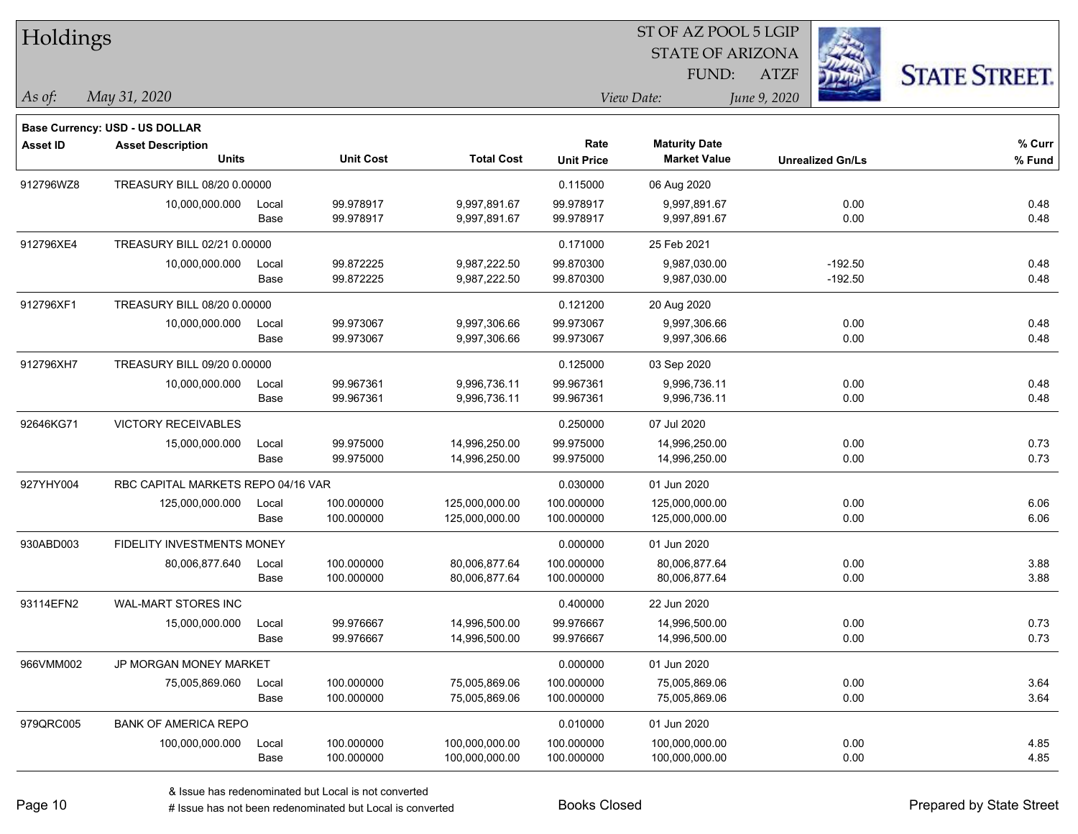| Holdings        |                                       |       |                  |                   |                   | ST OF AZ POOL 5 LGIP    |                         |           |                      |
|-----------------|---------------------------------------|-------|------------------|-------------------|-------------------|-------------------------|-------------------------|-----------|----------------------|
|                 |                                       |       |                  |                   |                   | <b>STATE OF ARIZONA</b> |                         |           |                      |
|                 |                                       |       |                  |                   |                   | FUND:                   | <b>ATZF</b>             |           | <b>STATE STREET.</b> |
| As of:          | May 31, 2020                          |       |                  |                   |                   | View Date:              | June 9, 2020            |           |                      |
|                 | <b>Base Currency: USD - US DOLLAR</b> |       |                  |                   |                   |                         |                         |           |                      |
| <b>Asset ID</b> | <b>Asset Description</b>              |       |                  |                   | Rate              | <b>Maturity Date</b>    |                         |           | % Curr               |
|                 | <b>Units</b>                          |       | <b>Unit Cost</b> | <b>Total Cost</b> | <b>Unit Price</b> | <b>Market Value</b>     | <b>Unrealized Gn/Ls</b> |           | % Fund               |
| 912796WZ8       | TREASURY BILL 08/20 0.00000           |       |                  |                   | 0.115000          | 06 Aug 2020             |                         |           |                      |
|                 | 10,000,000.000                        | Local | 99.978917        | 9,997,891.67      | 99.978917         | 9,997,891.67            |                         | 0.00      | 0.48                 |
|                 |                                       | Base  | 99.978917        | 9,997,891.67      | 99.978917         | 9,997,891.67            |                         | 0.00      | 0.48                 |
| 912796XE4       | TREASURY BILL 02/21 0.00000           |       |                  |                   | 0.171000          | 25 Feb 2021             |                         |           |                      |
|                 | 10,000,000.000                        | Local | 99.872225        | 9,987,222.50      | 99.870300         | 9,987,030.00            |                         | $-192.50$ | 0.48                 |
|                 |                                       | Base  | 99.872225        | 9,987,222.50      | 99.870300         | 9,987,030.00            |                         | $-192.50$ | 0.48                 |
| 912796XF1       | TREASURY BILL 08/20 0.00000           |       |                  |                   | 0.121200          | 20 Aug 2020             |                         |           |                      |
|                 | 10,000,000.000                        | Local | 99.973067        | 9,997,306.66      | 99.973067         | 9,997,306.66            |                         | 0.00      | 0.48                 |
|                 |                                       | Base  | 99.973067        | 9,997,306.66      | 99.973067         | 9,997,306.66            |                         | 0.00      | 0.48                 |
| 912796XH7       | TREASURY BILL 09/20 0.00000           |       |                  |                   | 0.125000          | 03 Sep 2020             |                         |           |                      |
|                 | 10,000,000.000                        | Local | 99.967361        | 9,996,736.11      | 99.967361         | 9,996,736.11            |                         | 0.00      | 0.48                 |
|                 |                                       | Base  | 99.967361        | 9,996,736.11      | 99.967361         | 9,996,736.11            |                         | 0.00      | 0.48                 |
| 92646KG71       | <b>VICTORY RECEIVABLES</b>            |       |                  |                   | 0.250000          | 07 Jul 2020             |                         |           |                      |
|                 | 15,000,000.000                        | Local | 99.975000        | 14,996,250.00     | 99.975000         | 14,996,250.00           |                         | 0.00      | 0.73                 |
|                 |                                       | Base  | 99.975000        | 14,996,250.00     | 99.975000         | 14,996,250.00           |                         | 0.00      | 0.73                 |
| 927YHY004       | RBC CAPITAL MARKETS REPO 04/16 VAR    |       |                  |                   | 0.030000          | 01 Jun 2020             |                         |           |                      |
|                 | 125,000,000.000                       | Local | 100.000000       | 125,000,000.00    | 100.000000        | 125,000,000.00          |                         | 0.00      | 6.06                 |
|                 |                                       | Base  | 100.000000       | 125,000,000.00    | 100.000000        | 125,000,000.00          |                         | 0.00      | 6.06                 |
| 930ABD003       | <b>FIDELITY INVESTMENTS MONEY</b>     |       |                  |                   | 0.000000          | 01 Jun 2020             |                         |           |                      |
|                 | 80,006,877.640                        | Local | 100.000000       | 80,006,877.64     | 100.000000        | 80,006,877.64           |                         | 0.00      | 3.88                 |
|                 |                                       | Base  | 100.000000       | 80,006,877.64     | 100.000000        | 80,006,877.64           |                         | 0.00      | 3.88                 |
| 93114EFN2       | WAL-MART STORES INC                   |       |                  |                   | 0.400000          | 22 Jun 2020             |                         |           |                      |
|                 | 15,000,000.000                        | Local | 99.976667        | 14,996,500.00     | 99.976667         | 14,996,500.00           |                         | 0.00      | 0.73                 |
|                 |                                       | Base  | 99.976667        | 14,996,500.00     | 99.976667         | 14,996,500.00           |                         | 0.00      | 0.73                 |
| 966VMM002       | JP MORGAN MONEY MARKET                |       |                  |                   | 0.000000          | 01 Jun 2020             |                         |           |                      |
|                 | 75,005,869.060                        | Local | 100.000000       | 75,005,869.06     | 100.000000        | 75,005,869.06           |                         | 0.00      | 3.64                 |
|                 |                                       | Base  | 100.000000       | 75,005,869.06     | 100.000000        | 75,005,869.06           |                         | 0.00      | 3.64                 |
| 979QRC005       | <b>BANK OF AMERICA REPO</b>           |       |                  |                   | 0.010000          | 01 Jun 2020             |                         |           |                      |
|                 | 100,000,000.000                       | Local | 100.000000       | 100,000,000.00    | 100.000000        | 100,000,000.00          |                         | 0.00      | 4.85                 |
|                 |                                       | Base  | 100.000000       | 100,000,000.00    | 100.000000        | 100,000,000.00          |                         | 0.00      | 4.85                 |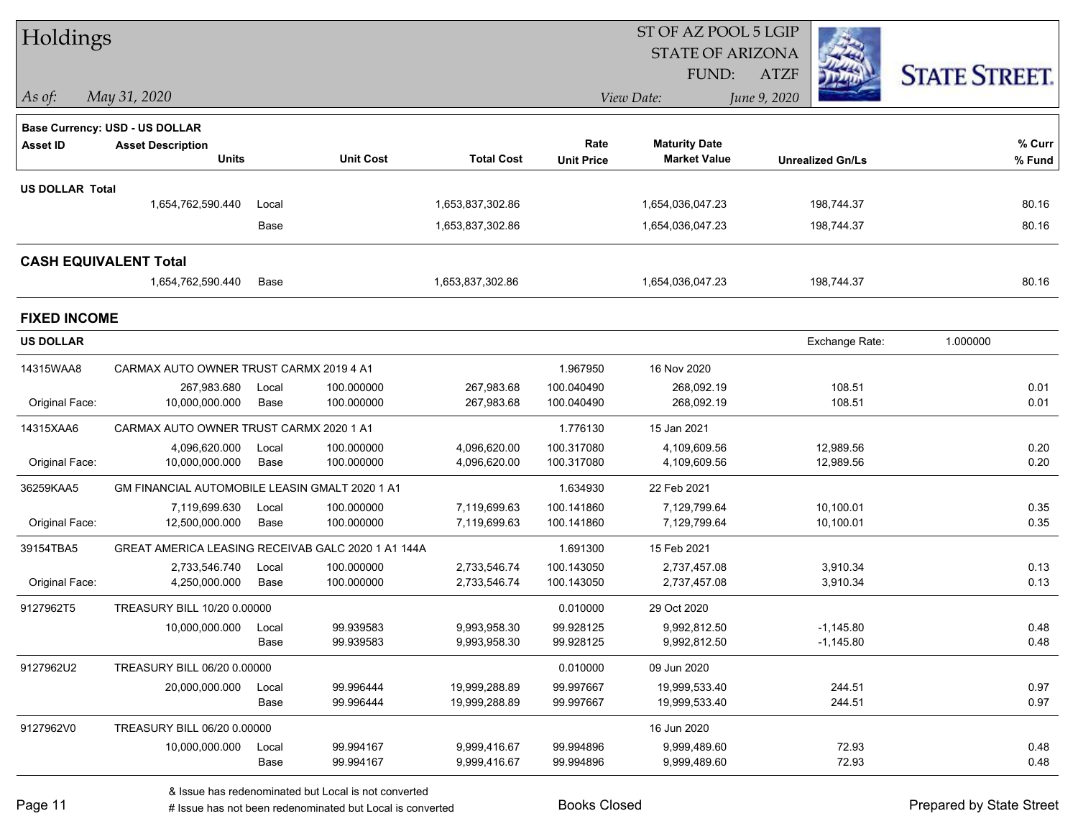| Holdings                     |                                                       |       |                  |                   |                   | ST OF AZ POOL 5 LGIP    |              |                         |                      |        |
|------------------------------|-------------------------------------------------------|-------|------------------|-------------------|-------------------|-------------------------|--------------|-------------------------|----------------------|--------|
|                              |                                                       |       |                  |                   |                   | <b>STATE OF ARIZONA</b> |              |                         |                      |        |
|                              |                                                       |       |                  |                   |                   | FUND:                   | <b>ATZF</b>  |                         | <b>STATE STREET.</b> |        |
| As of:                       | May 31, 2020                                          |       |                  |                   |                   | View Date:              | June 9, 2020 |                         |                      |        |
|                              | Base Currency: USD - US DOLLAR                        |       |                  |                   |                   |                         |              |                         |                      |        |
| <b>Asset ID</b>              | <b>Asset Description</b>                              |       |                  |                   | Rate              | <b>Maturity Date</b>    |              |                         |                      | % Curr |
|                              | <b>Units</b>                                          |       | <b>Unit Cost</b> | <b>Total Cost</b> | <b>Unit Price</b> | <b>Market Value</b>     |              | <b>Unrealized Gn/Ls</b> |                      | % Fund |
| <b>US DOLLAR Total</b>       |                                                       |       |                  |                   |                   |                         |              |                         |                      |        |
|                              | 1,654,762,590.440                                     | Local |                  | 1,653,837,302.86  |                   | 1,654,036,047.23        |              | 198,744.37              |                      | 80.16  |
|                              |                                                       | Base  |                  | 1,653,837,302.86  |                   | 1,654,036,047.23        |              | 198,744.37              |                      | 80.16  |
| <b>CASH EQUIVALENT Total</b> |                                                       |       |                  |                   |                   |                         |              |                         |                      |        |
|                              | 1,654,762,590.440                                     | Base  |                  | 1,653,837,302.86  |                   | 1,654,036,047.23        |              | 198,744.37              |                      | 80.16  |
| <b>FIXED INCOME</b>          |                                                       |       |                  |                   |                   |                         |              |                         |                      |        |
| <b>US DOLLAR</b>             |                                                       |       |                  |                   |                   |                         |              | Exchange Rate:          | 1.000000             |        |
| 14315WAA8                    | CARMAX AUTO OWNER TRUST CARMX 2019 4 A1               |       |                  |                   | 1.967950          | 16 Nov 2020             |              |                         |                      |        |
|                              | 267,983.680                                           | Local | 100.000000       | 267,983.68        | 100.040490        | 268,092.19              |              | 108.51                  |                      | 0.01   |
| Original Face:               | 10,000,000.000                                        | Base  | 100.000000       | 267,983.68        | 100.040490        | 268,092.19              |              | 108.51                  |                      | 0.01   |
| 14315XAA6                    | CARMAX AUTO OWNER TRUST CARMX 2020 1 A1               |       |                  |                   | 1.776130          | 15 Jan 2021             |              |                         |                      |        |
|                              | 4,096,620.000                                         | Local | 100.000000       | 4,096,620.00      | 100.317080        | 4,109,609.56            |              | 12,989.56               |                      | 0.20   |
| Original Face:               | 10,000,000.000                                        | Base  | 100.000000       | 4,096,620.00      | 100.317080        | 4,109,609.56            |              | 12,989.56               |                      | 0.20   |
| 36259KAA5                    | <b>GM FINANCIAL AUTOMOBILE LEASIN GMALT 2020 1 A1</b> |       |                  |                   | 1.634930          | 22 Feb 2021             |              |                         |                      |        |
|                              | 7,119,699.630                                         | Local | 100.000000       | 7,119,699.63      | 100.141860        | 7,129,799.64            |              | 10,100.01               |                      | 0.35   |
| Original Face:               | 12,500,000.000                                        | Base  | 100.000000       | 7,119,699.63      | 100.141860        | 7,129,799.64            |              | 10,100.01               |                      | 0.35   |
| 39154TBA5                    | GREAT AMERICA LEASING RECEIVAB GALC 2020 1 A1 144A    |       |                  |                   | 1.691300          | 15 Feb 2021             |              |                         |                      |        |
|                              | 2,733,546.740                                         | Local | 100.000000       | 2,733,546.74      | 100.143050        | 2,737,457.08            |              | 3,910.34                |                      | 0.13   |
| Original Face:               | 4,250,000.000                                         | Base  | 100.000000       | 2,733,546.74      | 100.143050        | 2,737,457.08            |              | 3,910.34                |                      | 0.13   |
| 9127962T5                    | TREASURY BILL 10/20 0.00000                           |       |                  |                   | 0.010000          | 29 Oct 2020             |              |                         |                      |        |
|                              | 10,000,000.000 Local                                  |       | 99.939583        | 9,993,958.30      | 99.928125         | 9,992,812.50            |              | $-1,145.80$             |                      | 0.48   |
|                              |                                                       | Base  | 99.939583        | 9,993,958.30      | 99.928125         | 9,992,812.50            |              | $-1,145.80$             |                      | 0.48   |
| 9127962U2                    | TREASURY BILL 06/20 0.00000                           |       |                  |                   | 0.010000          | 09 Jun 2020             |              |                         |                      |        |
|                              | 20,000,000.000                                        | Local | 99.996444        | 19,999,288.89     | 99.997667         | 19,999,533.40           |              | 244.51                  |                      | 0.97   |
|                              |                                                       | Base  | 99.996444        | 19,999,288.89     | 99.997667         | 19,999,533.40           |              | 244.51                  |                      | 0.97   |
| 9127962V0                    | TREASURY BILL 06/20 0.00000                           |       |                  |                   |                   | 16 Jun 2020             |              |                         |                      |        |
|                              | 10,000,000.000                                        | Local | 99.994167        | 9,999,416.67      | 99.994896         | 9,999,489.60            |              | 72.93                   |                      | 0.48   |
|                              |                                                       | Base  | 99.994167        | 9,999,416.67      | 99.994896         | 9,999,489.60            |              | 72.93                   |                      | 0.48   |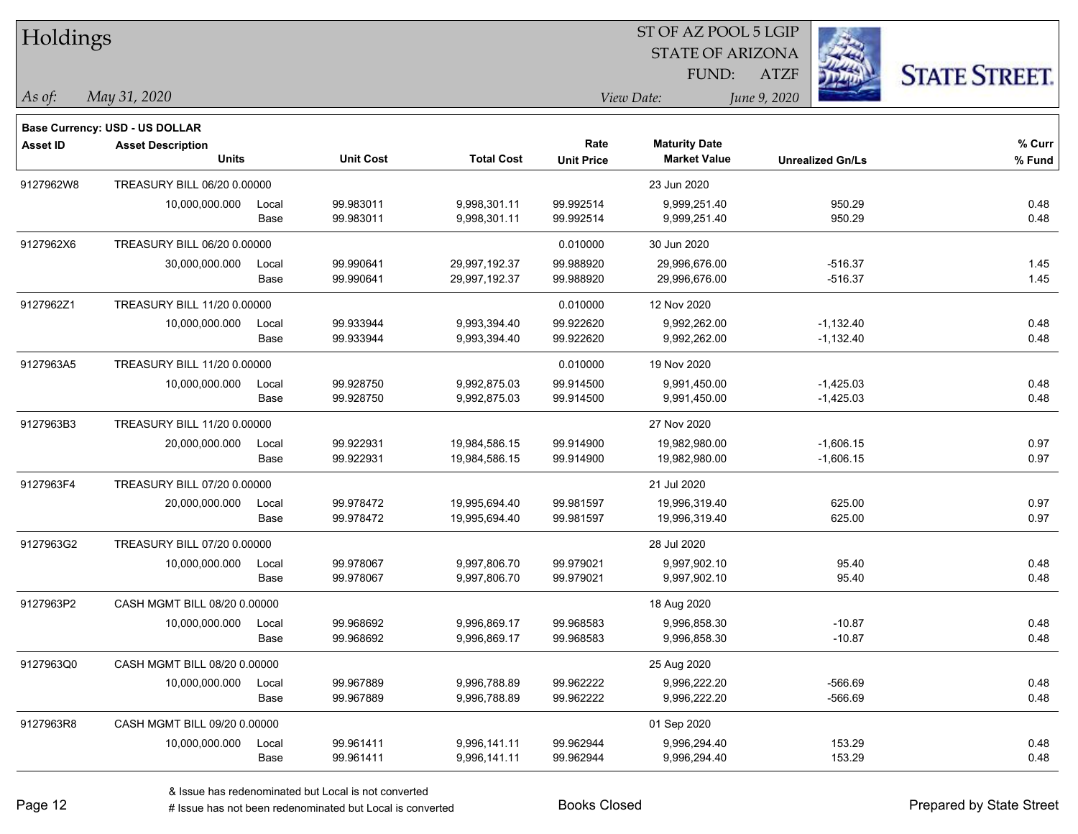| Holdings        |                                       |       |                  |                   |                   | 51 OF AZ POOL 5 LGIP    |                         |                      |
|-----------------|---------------------------------------|-------|------------------|-------------------|-------------------|-------------------------|-------------------------|----------------------|
|                 |                                       |       |                  |                   |                   | <b>STATE OF ARIZONA</b> |                         |                      |
|                 |                                       |       |                  |                   |                   | FUND:                   | <b>ATZF</b>             | <b>STATE STREET.</b> |
| $\vert$ As of:  | May 31, 2020                          |       |                  |                   |                   | View Date:              | June 9, 2020            |                      |
|                 | <b>Base Currency: USD - US DOLLAR</b> |       |                  |                   |                   |                         |                         |                      |
| <b>Asset ID</b> | <b>Asset Description</b>              |       |                  |                   | Rate              | <b>Maturity Date</b>    |                         | % Curr               |
|                 | <b>Units</b>                          |       | <b>Unit Cost</b> | <b>Total Cost</b> | <b>Unit Price</b> | <b>Market Value</b>     | <b>Unrealized Gn/Ls</b> | % Fund               |
| 9127962W8       | TREASURY BILL 06/20 0.00000           |       |                  |                   |                   | 23 Jun 2020             |                         |                      |
|                 | 10,000,000.000                        | Local | 99.983011        | 9,998,301.11      | 99.992514         | 9,999,251.40            | 950.29                  | 0.48                 |
|                 |                                       | Base  | 99.983011        | 9,998,301.11      | 99.992514         | 9,999,251.40            | 950.29                  | 0.48                 |
| 9127962X6       | TREASURY BILL 06/20 0.00000           |       |                  |                   | 0.010000          | 30 Jun 2020             |                         |                      |
|                 | 30,000,000.000                        | Local | 99.990641        | 29,997,192.37     | 99.988920         | 29,996,676.00           | $-516.37$               | 1.45                 |
|                 |                                       | Base  | 99.990641        | 29,997,192.37     | 99.988920         | 29,996,676.00           | $-516.37$               | 1.45                 |
| 9127962Z1       | TREASURY BILL 11/20 0.00000           |       |                  |                   | 0.010000          | 12 Nov 2020             |                         |                      |
|                 | 10,000,000.000                        | Local | 99.933944        | 9,993,394.40      | 99.922620         | 9,992,262.00            | $-1,132.40$             | 0.48                 |
|                 |                                       | Base  | 99.933944        | 9,993,394.40      | 99.922620         | 9,992,262.00            | $-1,132.40$             | 0.48                 |
| 9127963A5       | TREASURY BILL 11/20 0.00000           |       |                  |                   | 0.010000          | 19 Nov 2020             |                         |                      |
|                 | 10,000,000.000                        | Local | 99.928750        | 9,992,875.03      | 99.914500         | 9,991,450.00            | $-1,425.03$             | 0.48                 |
|                 |                                       | Base  | 99.928750        | 9,992,875.03      | 99.914500         | 9,991,450.00            | $-1,425.03$             | 0.48                 |
| 9127963B3       | TREASURY BILL 11/20 0.00000           |       |                  |                   |                   | 27 Nov 2020             |                         |                      |
|                 | 20,000,000.000                        | Local | 99.922931        | 19,984,586.15     | 99.914900         | 19,982,980.00           | $-1,606.15$             | 0.97                 |
|                 |                                       | Base  | 99.922931        | 19,984,586.15     | 99.914900         | 19,982,980.00           | $-1,606.15$             | 0.97                 |
| 9127963F4       | TREASURY BILL 07/20 0.00000           |       |                  |                   |                   | 21 Jul 2020             |                         |                      |
|                 | 20,000,000.000                        | Local | 99.978472        | 19,995,694.40     | 99.981597         | 19,996,319.40           | 625.00                  | 0.97                 |
|                 |                                       | Base  | 99.978472        | 19,995,694.40     | 99.981597         | 19,996,319.40           | 625.00                  | 0.97                 |
| 9127963G2       | TREASURY BILL 07/20 0.00000           |       |                  |                   |                   | 28 Jul 2020             |                         |                      |
|                 | 10,000,000.000                        | Local | 99.978067        | 9,997,806.70      | 99.979021         | 9,997,902.10            | 95.40                   | 0.48                 |
|                 |                                       | Base  | 99.978067        | 9,997,806.70      | 99.979021         | 9,997,902.10            | 95.40                   | 0.48                 |
| 9127963P2       | CASH MGMT BILL 08/20 0.00000          |       |                  |                   |                   | 18 Aug 2020             |                         |                      |
|                 | 10,000,000.000                        | Local | 99.968692        | 9,996,869.17      | 99.968583         | 9,996,858.30            | $-10.87$                | 0.48                 |
|                 |                                       | Base  | 99.968692        | 9,996,869.17      | 99.968583         | 9,996,858.30            | $-10.87$                | 0.48                 |
| 9127963Q0       | CASH MGMT BILL 08/20 0.00000          |       |                  |                   |                   | 25 Aug 2020             |                         |                      |
|                 | 10,000,000.000                        | Local | 99.967889        | 9,996,788.89      | 99.962222         | 9,996,222.20            | $-566.69$               | 0.48                 |
|                 |                                       | Base  | 99.967889        | 9,996,788.89      | 99.962222         | 9,996,222.20            | $-566.69$               | 0.48                 |
| 9127963R8       | CASH MGMT BILL 09/20 0.00000          |       |                  |                   |                   | 01 Sep 2020             |                         |                      |
|                 | 10,000,000.000                        | Local | 99.961411        | 9,996,141.11      | 99.962944         | 9,996,294.40            | 153.29                  | 0.48                 |
|                 |                                       | Base  | 99.961411        | 9,996,141.11      | 99.962944         | 9,996,294.40            | 153.29                  | 0.48                 |

 $\overline{\text{S}}$  of  $\overline{\text{S}}$   $\overline{\text{S}}$   $\overline{\text{S}}$   $\overline{\text{S}}$   $\overline{\text{S}}$   $\overline{\text{S}}$   $\overline{\text{S}}$   $\overline{\text{S}}$   $\overline{\text{S}}$   $\overline{\text{S}}$   $\overline{\text{S}}$   $\overline{\text{S}}$   $\overline{\text{S}}$   $\overline{\text{S}}$   $\overline{\text{S}}$   $\overline{\text{S}}$   $\overline{\text{S}}$   $\overline{\text{S}}$   $\overline{\text{S}}$ 

٦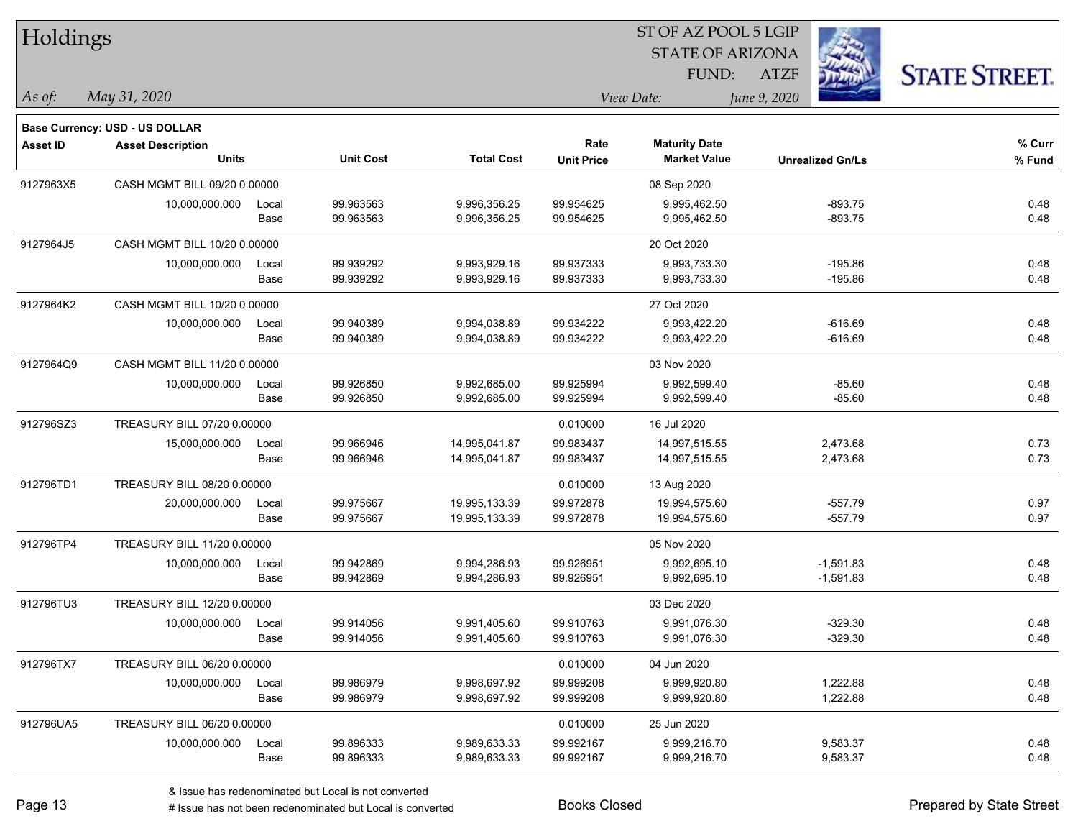| Holdings        |                                |       |                  |                   |                   | ST OF AZ POOL 5 LGIP    |              |                         |                      |
|-----------------|--------------------------------|-------|------------------|-------------------|-------------------|-------------------------|--------------|-------------------------|----------------------|
|                 |                                |       |                  |                   |                   | <b>STATE OF ARIZONA</b> |              |                         |                      |
|                 |                                |       |                  |                   |                   | FUND:                   | <b>ATZF</b>  |                         | <b>STATE STREET.</b> |
| As of:          | May 31, 2020                   |       |                  |                   |                   | View Date:              | June 9, 2020 |                         |                      |
|                 | Base Currency: USD - US DOLLAR |       |                  |                   |                   |                         |              |                         |                      |
| <b>Asset ID</b> | <b>Asset Description</b>       |       |                  |                   | Rate              | <b>Maturity Date</b>    |              |                         | % Curr               |
|                 | <b>Units</b>                   |       | <b>Unit Cost</b> | <b>Total Cost</b> | <b>Unit Price</b> | <b>Market Value</b>     |              | <b>Unrealized Gn/Ls</b> | $%$ Fund             |
| 9127963X5       | CASH MGMT BILL 09/20 0.00000   |       |                  |                   |                   | 08 Sep 2020             |              |                         |                      |
|                 | 10,000,000.000                 | Local | 99.963563        | 9,996,356.25      | 99.954625         | 9,995,462.50            |              | $-893.75$               | 0.48                 |
|                 |                                | Base  | 99.963563        | 9,996,356.25      | 99.954625         | 9,995,462.50            |              | $-893.75$               | 0.48                 |
| 9127964J5       | CASH MGMT BILL 10/20 0.00000   |       |                  |                   |                   | 20 Oct 2020             |              |                         |                      |
|                 | 10,000,000.000                 | Local | 99.939292        | 9,993,929.16      | 99.937333         | 9,993,733.30            |              | $-195.86$               | 0.48                 |
|                 |                                | Base  | 99.939292        | 9,993,929.16      | 99.937333         | 9,993,733.30            |              | $-195.86$               | 0.48                 |
| 9127964K2       | CASH MGMT BILL 10/20 0.00000   |       |                  |                   |                   | 27 Oct 2020             |              |                         |                      |
|                 | 10,000,000.000                 | Local | 99.940389        | 9,994,038.89      | 99.934222         | 9,993,422.20            |              | $-616.69$               | 0.48                 |
|                 |                                | Base  | 99.940389        | 9,994,038.89      | 99.934222         | 9,993,422.20            |              | $-616.69$               | 0.48                 |
| 9127964Q9       | CASH MGMT BILL 11/20 0.00000   |       |                  |                   |                   | 03 Nov 2020             |              |                         |                      |
|                 | 10,000,000.000                 | Local | 99.926850        | 9,992,685.00      | 99.925994         | 9,992,599.40            |              | $-85.60$                | 0.48                 |
|                 |                                | Base  | 99.926850        | 9,992,685.00      | 99.925994         | 9,992,599.40            |              | $-85.60$                | 0.48                 |
| 912796SZ3       | TREASURY BILL 07/20 0.00000    |       |                  |                   | 0.010000          | 16 Jul 2020             |              |                         |                      |
|                 | 15,000,000.000                 | Local | 99.966946        | 14,995,041.87     | 99.983437         | 14,997,515.55           |              | 2,473.68                | 0.73                 |
|                 |                                | Base  | 99.966946        | 14,995,041.87     | 99.983437         | 14,997,515.55           |              | 2,473.68                | 0.73                 |
| 912796TD1       | TREASURY BILL 08/20 0.00000    |       |                  |                   | 0.010000          | 13 Aug 2020             |              |                         |                      |
|                 | 20,000,000.000                 | Local | 99.975667        | 19,995,133.39     | 99.972878         | 19,994,575.60           |              | $-557.79$               | 0.97                 |
|                 |                                | Base  | 99.975667        | 19,995,133.39     | 99.972878         | 19,994,575.60           |              | $-557.79$               | 0.97                 |
| 912796TP4       | TREASURY BILL 11/20 0.00000    |       |                  |                   |                   | 05 Nov 2020             |              |                         |                      |
|                 | 10,000,000.000                 | Local | 99.942869        | 9,994,286.93      | 99.926951         | 9,992,695.10            |              | $-1,591.83$             | 0.48                 |
|                 |                                | Base  | 99.942869        | 9,994,286.93      | 99.926951         | 9,992,695.10            |              | $-1,591.83$             | 0.48                 |
| 912796TU3       | TREASURY BILL 12/20 0.00000    |       |                  |                   |                   | 03 Dec 2020             |              |                         |                      |
|                 | 10,000,000.000                 | Local | 99.914056        | 9,991,405.60      | 99.910763         | 9,991,076.30            |              | -329.30                 | 0.48                 |
|                 |                                | Base  | 99.914056        | 9,991,405.60      | 99.910763         | 9,991,076.30            |              | $-329.30$               | 0.48                 |
| 912796TX7       | TREASURY BILL 06/20 0.00000    |       |                  |                   | 0.010000          | 04 Jun 2020             |              |                         |                      |
|                 | 10,000,000.000                 | Local | 99.986979        | 9,998,697.92      | 99.999208         | 9,999,920.80            |              | 1,222.88                | 0.48                 |
|                 |                                | Base  | 99.986979        | 9,998,697.92      | 99.999208         | 9,999,920.80            |              | 1,222.88                | 0.48                 |
| 912796UA5       | TREASURY BILL 06/20 0.00000    |       |                  |                   | 0.010000          | 25 Jun 2020             |              |                         |                      |
|                 | 10,000,000.000                 | Local | 99.896333        | 9,989,633.33      | 99.992167         | 9,999,216.70            |              | 9,583.37                | 0.48                 |
|                 |                                | Base  | 99.896333        | 9,989,633.33      | 99.992167         | 9,999,216.70            |              | 9,583.37                | 0.48                 |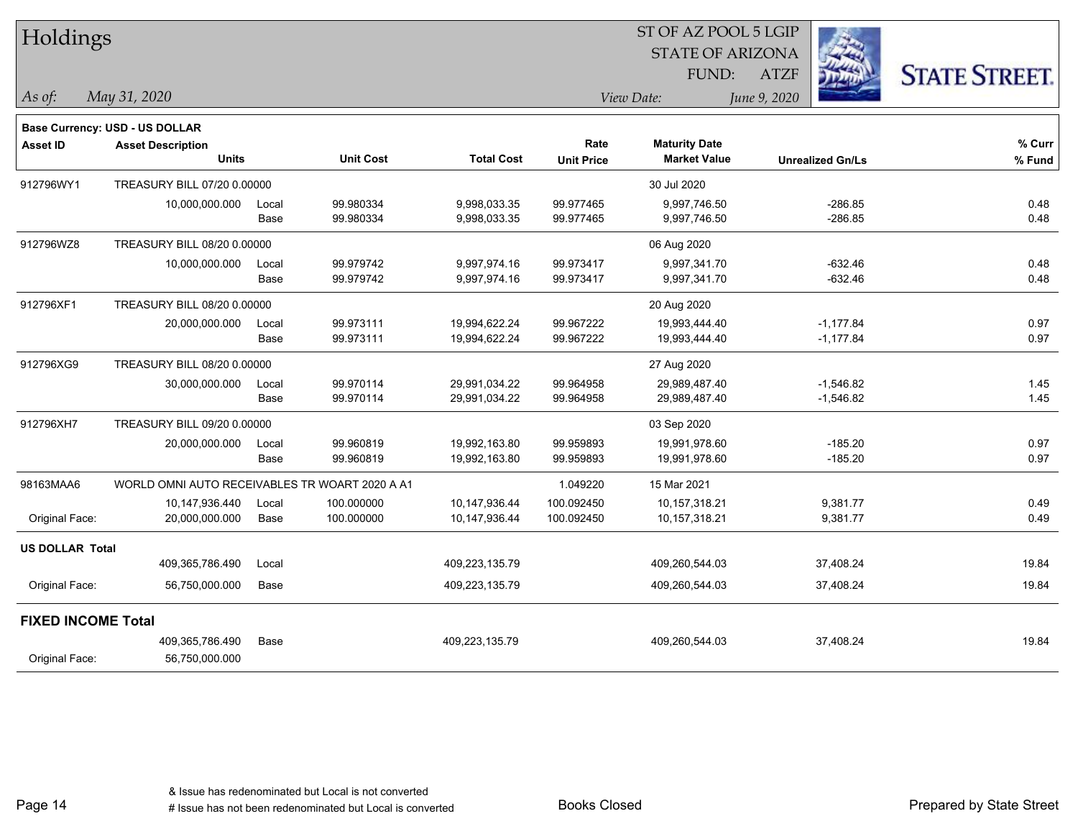|                           | Holdings                                       |               |                          |                                |                           | 51 OF AZ POOL 5 LGIP                        |                            |                      |
|---------------------------|------------------------------------------------|---------------|--------------------------|--------------------------------|---------------------------|---------------------------------------------|----------------------------|----------------------|
|                           |                                                |               |                          |                                |                           | <b>STATE OF ARIZONA</b>                     |                            |                      |
|                           |                                                |               |                          |                                |                           | FUND:                                       | <b>ATZF</b>                | <b>STATE STREET.</b> |
| As of:                    | May 31, 2020                                   |               |                          |                                |                           | View Date:                                  | June 9, 2020               |                      |
|                           | <b>Base Currency: USD - US DOLLAR</b>          |               |                          |                                |                           |                                             |                            |                      |
| <b>Asset ID</b>           | <b>Asset Description</b><br><b>Units</b>       |               | <b>Unit Cost</b>         | <b>Total Cost</b>              | Rate<br><b>Unit Price</b> | <b>Maturity Date</b><br><b>Market Value</b> | <b>Unrealized Gn/Ls</b>    | % Curr<br>% Fund     |
| 912796WY1                 | TREASURY BILL 07/20 0.00000                    |               |                          |                                |                           | 30 Jul 2020                                 |                            |                      |
|                           | 10,000,000.000                                 | Local<br>Base | 99.980334<br>99.980334   | 9,998,033.35<br>9,998,033.35   | 99.977465<br>99.977465    | 9,997,746.50<br>9,997,746.50                | $-286.85$<br>$-286.85$     | 0.48<br>0.48         |
| 912796WZ8                 | TREASURY BILL 08/20 0.00000                    |               |                          |                                |                           | 06 Aug 2020                                 |                            |                      |
|                           | 10,000,000.000                                 | Local<br>Base | 99.979742<br>99.979742   | 9,997,974.16<br>9,997,974.16   | 99.973417<br>99.973417    | 9,997,341.70<br>9,997,341.70                | $-632.46$<br>$-632.46$     | 0.48<br>0.48         |
| 912796XF1                 | TREASURY BILL 08/20 0.00000                    |               |                          |                                |                           | 20 Aug 2020                                 |                            |                      |
|                           | 20,000,000.000                                 | Local<br>Base | 99.973111<br>99.973111   | 19,994,622.24<br>19,994,622.24 | 99.967222<br>99.967222    | 19,993,444.40<br>19,993,444.40              | $-1,177.84$<br>$-1,177.84$ | 0.97<br>0.97         |
| 912796XG9                 | TREASURY BILL 08/20 0.00000                    |               |                          |                                |                           | 27 Aug 2020                                 |                            |                      |
|                           | 30,000,000.000                                 | Local<br>Base | 99.970114<br>99.970114   | 29,991,034.22<br>29,991,034.22 | 99.964958<br>99.964958    | 29,989,487.40<br>29,989,487.40              | $-1,546.82$<br>$-1,546.82$ | 1.45<br>1.45         |
| 912796XH7                 | TREASURY BILL 09/20 0.00000                    |               |                          |                                |                           | 03 Sep 2020                                 |                            |                      |
|                           | 20,000,000.000                                 | Local<br>Base | 99.960819<br>99.960819   | 19,992,163.80<br>19,992,163.80 | 99.959893<br>99.959893    | 19,991,978.60<br>19,991,978.60              | $-185.20$<br>$-185.20$     | 0.97<br>0.97         |
| 98163MAA6                 | WORLD OMNI AUTO RECEIVABLES TR WOART 2020 A A1 |               |                          |                                | 1.049220                  | 15 Mar 2021                                 |                            |                      |
| Original Face:            | 10,147,936.440<br>20,000,000.000               | Local<br>Base | 100.000000<br>100.000000 | 10,147,936.44<br>10,147,936.44 | 100.092450<br>100.092450  | 10,157,318.21<br>10,157,318.21              | 9,381.77<br>9,381.77       | 0.49<br>0.49         |
| <b>US DOLLAR Total</b>    |                                                |               |                          |                                |                           |                                             |                            |                      |
|                           | 409,365,786.490                                | Local         |                          | 409,223,135.79                 |                           | 409,260,544.03                              | 37,408.24                  | 19.84                |
| Original Face:            | 56,750,000.000                                 | Base          |                          | 409,223,135.79                 |                           | 409,260,544.03                              | 37,408.24                  | 19.84                |
| <b>FIXED INCOME Total</b> |                                                |               |                          |                                |                           |                                             |                            |                      |
| Original Face:            | 409,365,786.490<br>56,750,000.000              | Base          |                          | 409,223,135.79                 |                           | 409,260,544.03                              | 37,408.24                  | 19.84                |

 $\overline{S}$  OF  $\overline{S}$  Pool 5 LGIP

Page 14

٦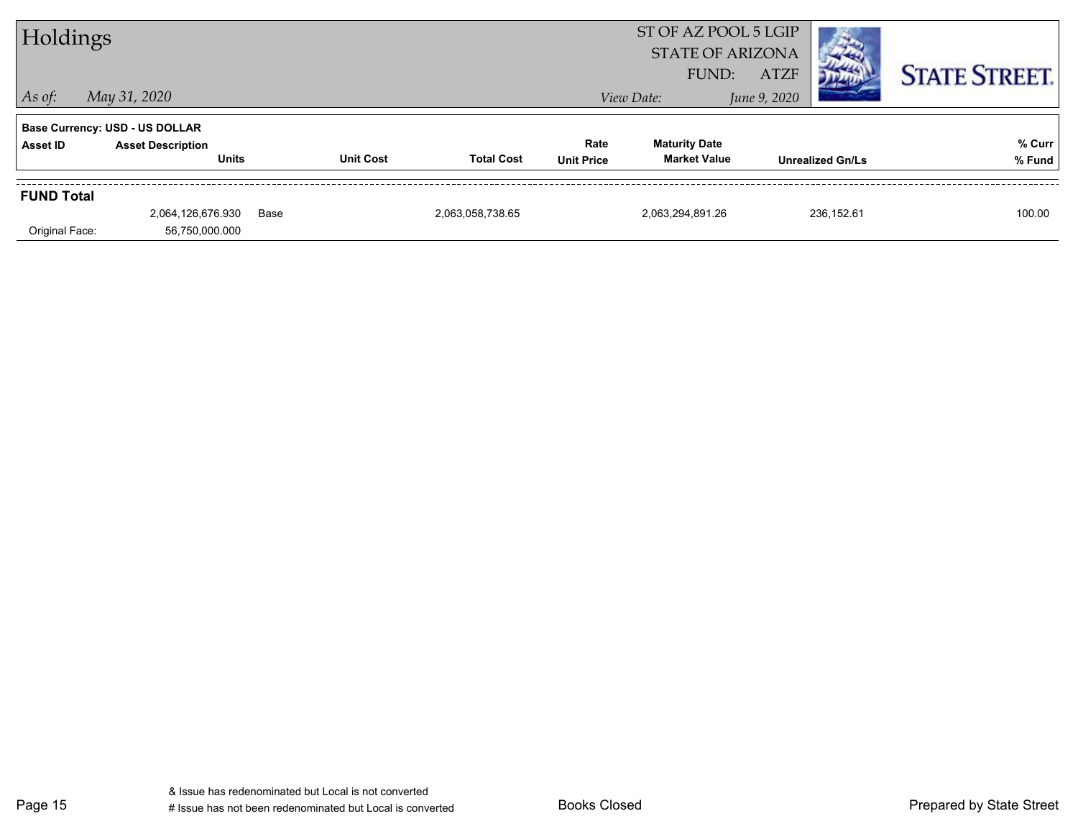| Holdings          |                                          |      |                  |                   | ST OF AZ POOL 5 LGIP<br><b>STATE OF ARIZONA</b> |                                             |                             |            |                      |
|-------------------|------------------------------------------|------|------------------|-------------------|-------------------------------------------------|---------------------------------------------|-----------------------------|------------|----------------------|
| $As$ of:          | May 31, 2020                             |      |                  |                   |                                                 | FUND:<br>View Date:                         | <b>ATZF</b><br>June 9, 2020 |            | <b>STATE STREET.</b> |
|                   | <b>Base Currency: USD - US DOLLAR</b>    |      |                  |                   |                                                 |                                             |                             |            |                      |
| Asset ID          | <b>Asset Description</b><br><b>Units</b> |      | <b>Unit Cost</b> | <b>Total Cost</b> | Rate<br><b>Unit Price</b>                       | <b>Maturity Date</b><br><b>Market Value</b> | <b>Unrealized Gn/Ls</b>     |            | % Curr<br>% Fund     |
|                   |                                          |      |                  |                   |                                                 |                                             |                             |            |                      |
| <b>FUND Total</b> |                                          |      |                  |                   |                                                 |                                             |                             |            |                      |
|                   | 2,064,126,676.930                        | Base |                  | 2,063,058,738.65  |                                                 | 2,063,294,891.26                            |                             | 236,152.61 | 100.00               |
| Original Face:    | 56,750,000.000                           |      |                  |                   |                                                 |                                             |                             |            |                      |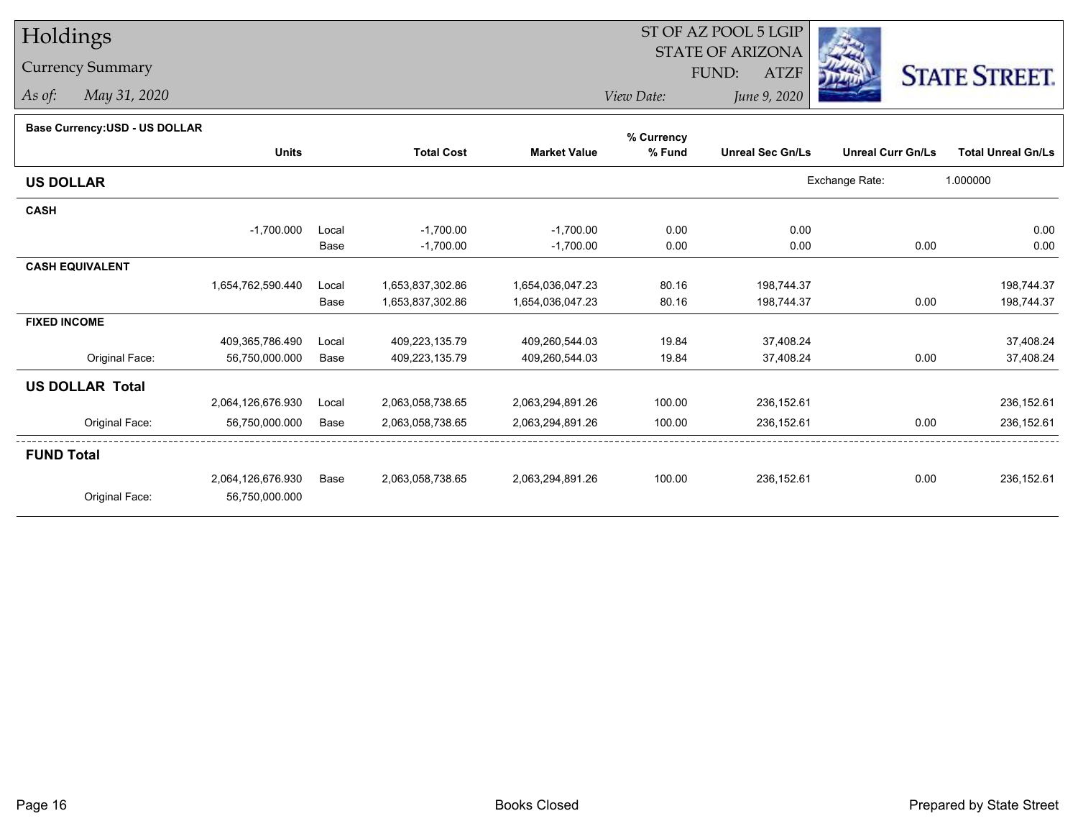## Holdings

## Currency Summary

*As of: May 31, 2020*

## ST OF AZ POOL 5 LGIP STATE OF ARIZONAATZF FUND:



*View Date:June 9, 2020*

| Base Currency: USD - US DOLLAR |                   |       |                   |                     | % Currency |                         |                          |                           |
|--------------------------------|-------------------|-------|-------------------|---------------------|------------|-------------------------|--------------------------|---------------------------|
|                                | <b>Units</b>      |       | <b>Total Cost</b> | <b>Market Value</b> | % Fund     | <b>Unreal Sec Gn/Ls</b> | <b>Unreal Curr Gn/Ls</b> | <b>Total Unreal Gn/Ls</b> |
| <b>US DOLLAR</b>               |                   |       |                   |                     |            |                         | Exchange Rate:           | 1.000000                  |
| <b>CASH</b>                    |                   |       |                   |                     |            |                         |                          |                           |
|                                | $-1,700.000$      | Local | $-1,700.00$       | $-1,700.00$         | 0.00       | 0.00                    |                          | 0.00                      |
|                                |                   | Base  | $-1,700.00$       | $-1,700.00$         | 0.00       | 0.00                    | 0.00                     | 0.00                      |
| <b>CASH EQUIVALENT</b>         |                   |       |                   |                     |            |                         |                          |                           |
|                                | 1,654,762,590.440 | Local | 1,653,837,302.86  | 1,654,036,047.23    | 80.16      | 198,744.37              |                          | 198,744.37                |
|                                |                   | Base  | 1,653,837,302.86  | 1,654,036,047.23    | 80.16      | 198,744.37              | 0.00                     | 198,744.37                |
| <b>FIXED INCOME</b>            |                   |       |                   |                     |            |                         |                          |                           |
|                                | 409,365,786.490   | Local | 409,223,135.79    | 409,260,544.03      | 19.84      | 37,408.24               |                          | 37,408.24                 |
| Original Face:                 | 56,750,000.000    | Base  | 409,223,135.79    | 409,260,544.03      | 19.84      | 37,408.24               | 0.00                     | 37,408.24                 |
| <b>US DOLLAR Total</b>         |                   |       |                   |                     |            |                         |                          |                           |
|                                | 2,064,126,676.930 | Local | 2,063,058,738.65  | 2,063,294,891.26    | 100.00     | 236,152.61              |                          | 236,152.61                |
| Original Face:                 | 56,750,000.000    | Base  | 2,063,058,738.65  | 2,063,294,891.26    | 100.00     | 236,152.61              | 0.00                     | 236,152.61                |
| <b>FUND Total</b>              |                   |       |                   |                     |            |                         |                          |                           |
|                                | 2,064,126,676.930 | Base  | 2,063,058,738.65  | 2,063,294,891.26    | 100.00     | 236,152.61              | 0.00                     | 236,152.61                |
| Original Face:                 | 56,750,000.000    |       |                   |                     |            |                         |                          |                           |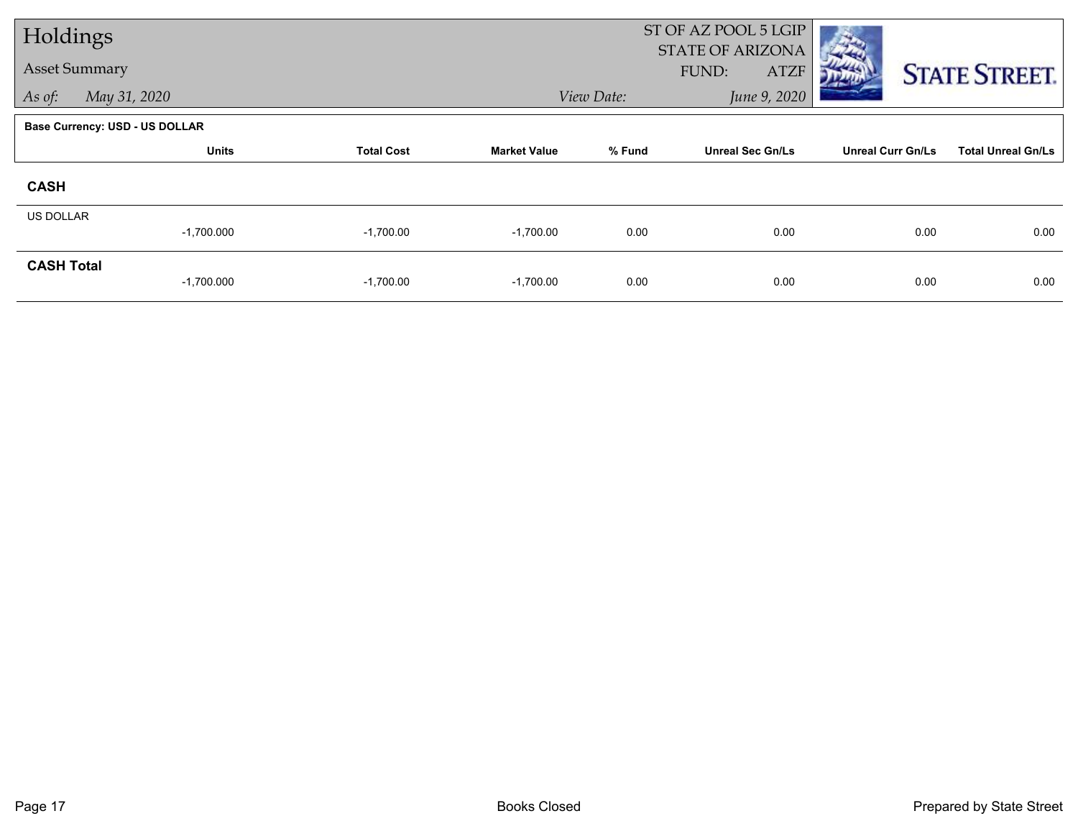| Holdings             |                                       |                   |                     | ST OF AZ POOL 5 LGIP |                                                 |                          |                           |
|----------------------|---------------------------------------|-------------------|---------------------|----------------------|-------------------------------------------------|--------------------------|---------------------------|
| <b>Asset Summary</b> |                                       |                   |                     |                      | <b>STATE OF ARIZONA</b><br>FUND:<br><b>ATZF</b> |                          | <b>STATE STREET.</b>      |
| As of:               | May 31, 2020                          |                   |                     | View Date:           | June 9, 2020                                    |                          |                           |
|                      | <b>Base Currency: USD - US DOLLAR</b> |                   |                     |                      |                                                 |                          |                           |
|                      | <b>Units</b>                          | <b>Total Cost</b> | <b>Market Value</b> | % Fund               | <b>Unreal Sec Gn/Ls</b>                         | <b>Unreal Curr Gn/Ls</b> | <b>Total Unreal Gn/Ls</b> |
| <b>CASH</b>          |                                       |                   |                     |                      |                                                 |                          |                           |
| <b>US DOLLAR</b>     | $-1,700.000$                          | $-1,700.00$       | $-1,700.00$         | 0.00                 | 0.00                                            | 0.00                     | 0.00                      |
| <b>CASH Total</b>    | $-1,700.000$                          | $-1,700.00$       | $-1,700.00$         | 0.00                 | 0.00                                            | 0.00                     | 0.00                      |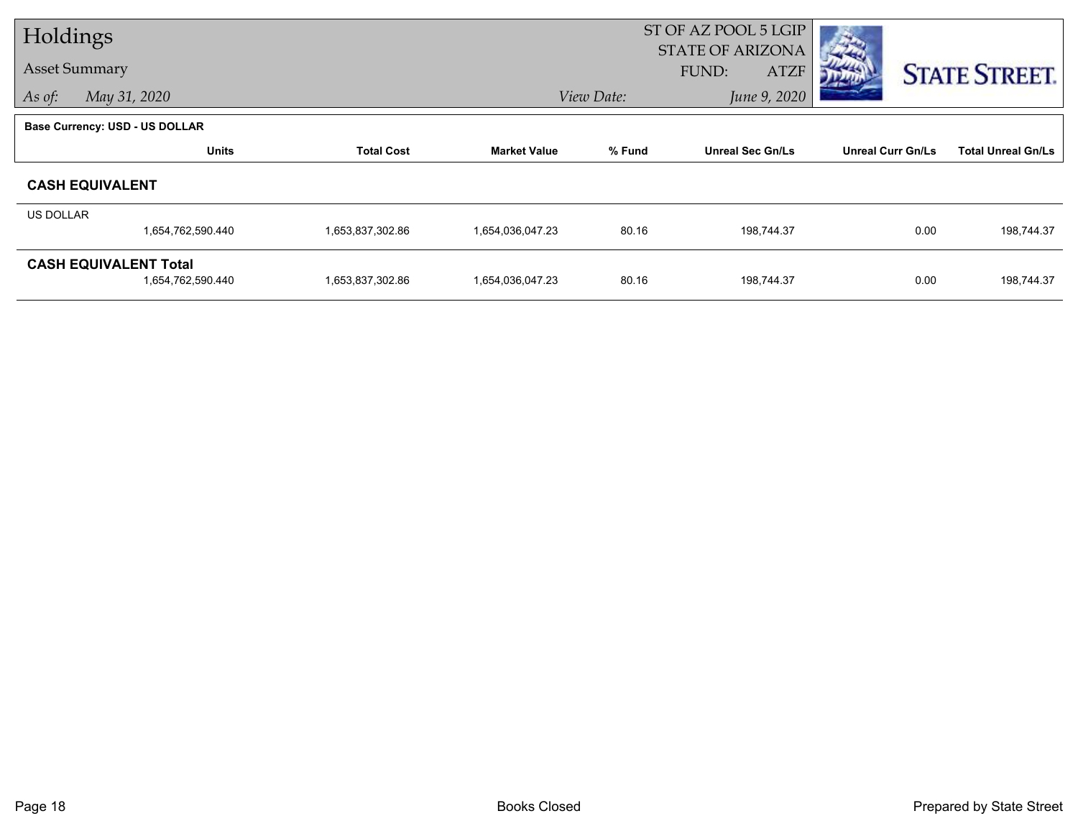| Holdings         |                                                   |                   |                     | ST OF AZ POOL 5 LGIP<br><b>STATE OF ARIZONA</b> |                             |                          |                           |  |
|------------------|---------------------------------------------------|-------------------|---------------------|-------------------------------------------------|-----------------------------|--------------------------|---------------------------|--|
|                  | <b>Asset Summary</b>                              |                   |                     |                                                 | <b>ATZF</b><br><b>FUND:</b> |                          | <b>STATE STREET.</b>      |  |
| As of:           | May 31, 2020                                      |                   |                     | View Date:                                      | June 9, 2020                |                          |                           |  |
|                  | <b>Base Currency: USD - US DOLLAR</b>             |                   |                     |                                                 |                             |                          |                           |  |
|                  | <b>Units</b>                                      | <b>Total Cost</b> | <b>Market Value</b> | % Fund                                          | <b>Unreal Sec Gn/Ls</b>     | <b>Unreal Curr Gn/Ls</b> | <b>Total Unreal Gn/Ls</b> |  |
|                  | <b>CASH EQUIVALENT</b>                            |                   |                     |                                                 |                             |                          |                           |  |
| <b>US DOLLAR</b> |                                                   |                   |                     |                                                 |                             |                          |                           |  |
|                  | 1,654,762,590.440                                 | 1,653,837,302.86  | 1,654,036,047.23    | 80.16                                           | 198,744.37                  | 0.00                     | 198,744.37                |  |
|                  | <b>CASH EQUIVALENT Total</b><br>1,654,762,590.440 | 1,653,837,302.86  | 1,654,036,047.23    | 80.16                                           | 198,744.37                  | 0.00                     | 198,744.37                |  |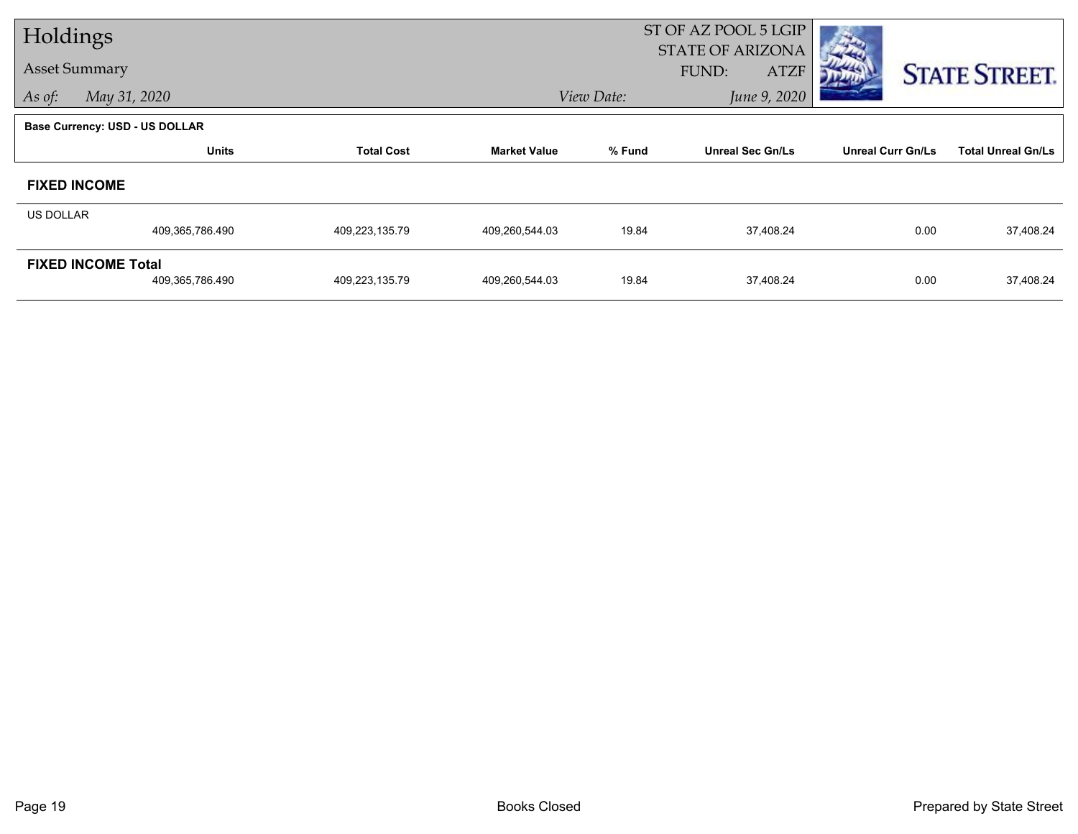| Holdings             |                                       |                   |                     | ST OF AZ POOL 5 LGIP |                                                 |                          |                           |
|----------------------|---------------------------------------|-------------------|---------------------|----------------------|-------------------------------------------------|--------------------------|---------------------------|
| <b>Asset Summary</b> |                                       |                   |                     |                      | <b>STATE OF ARIZONA</b><br>FUND:<br><b>ATZF</b> |                          | <b>STATE STREET.</b>      |
| As of:               | May 31, 2020                          |                   |                     | View Date:           | June 9, 2020                                    |                          |                           |
|                      | <b>Base Currency: USD - US DOLLAR</b> |                   |                     |                      |                                                 |                          |                           |
|                      | <b>Units</b>                          | <b>Total Cost</b> | <b>Market Value</b> | % Fund               | <b>Unreal Sec Gn/Ls</b>                         | <b>Unreal Curr Gn/Ls</b> | <b>Total Unreal Gn/Ls</b> |
|                      | <b>FIXED INCOME</b>                   |                   |                     |                      |                                                 |                          |                           |
| US DOLLAR            |                                       |                   |                     |                      |                                                 |                          |                           |
|                      | 409,365,786.490                       | 409,223,135.79    | 409,260,544.03      | 19.84                | 37,408.24                                       | 0.00                     | 37,408.24                 |
|                      | <b>FIXED INCOME Total</b>             |                   |                     |                      |                                                 |                          |                           |
|                      | 409,365,786.490                       | 409,223,135.79    | 409,260,544.03      | 19.84                | 37,408.24                                       | 0.00                     | 37,408.24                 |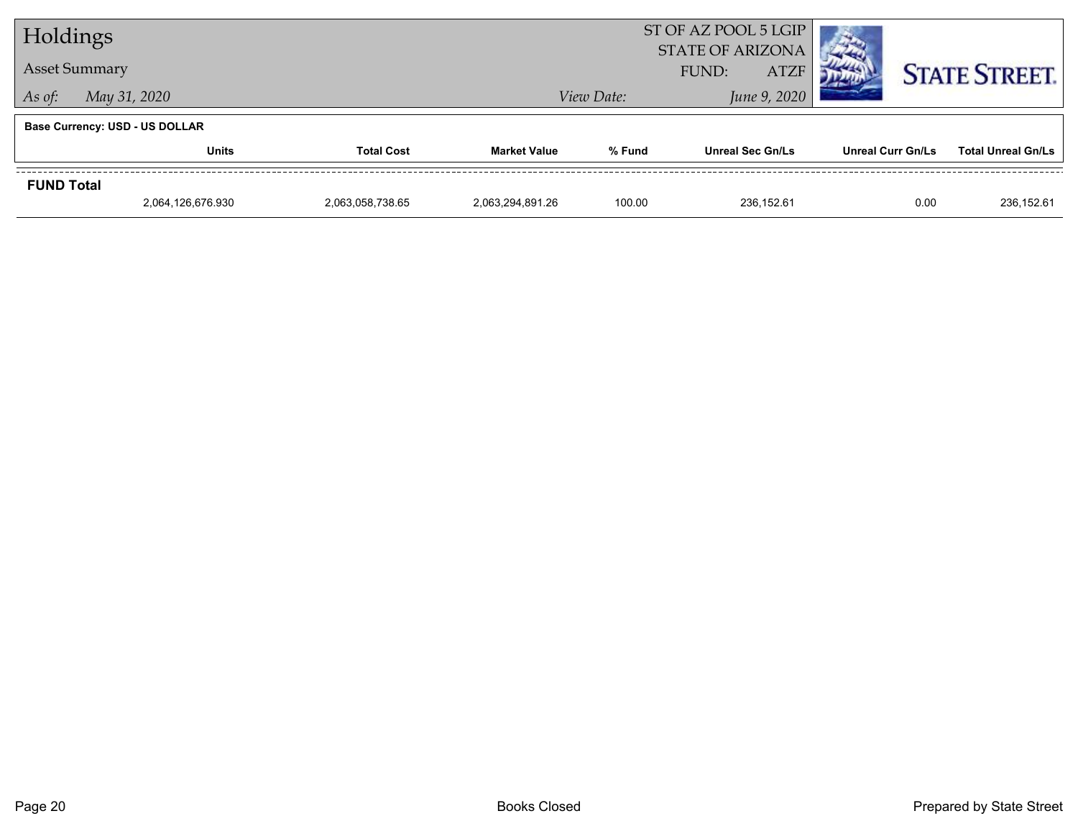| Holdings          |                                       |                   |                  |                            | ST OF AZ POOL 5 LGIP<br><b>STATE OF ARIZONA</b> |                          |                           |  |  |
|-------------------|---------------------------------------|-------------------|------------------|----------------------------|-------------------------------------------------|--------------------------|---------------------------|--|--|
|                   | <b>Asset Summary</b>                  |                   |                  |                            | FUND:<br><b>ATZF</b>                            | <b>STATE STREET.</b>     |                           |  |  |
| As of:            | May 31, 2020                          |                   |                  | June 9, 2020<br>View Date: |                                                 |                          |                           |  |  |
|                   | <b>Base Currency: USD - US DOLLAR</b> |                   |                  |                            |                                                 |                          |                           |  |  |
|                   | <b>Units</b>                          | <b>Total Cost</b> |                  | % Fund                     | <b>Unreal Sec Gn/Ls</b>                         | <b>Unreal Curr Gn/Ls</b> | <b>Total Unreal Gn/Ls</b> |  |  |
| <b>FUND Total</b> |                                       |                   |                  |                            |                                                 |                          |                           |  |  |
|                   | 2,064,126,676.930                     | 2,063,058,738.65  | 2.063.294.891.26 | 100.00                     | 236.152.61                                      | 0.00                     | 236.152.61                |  |  |